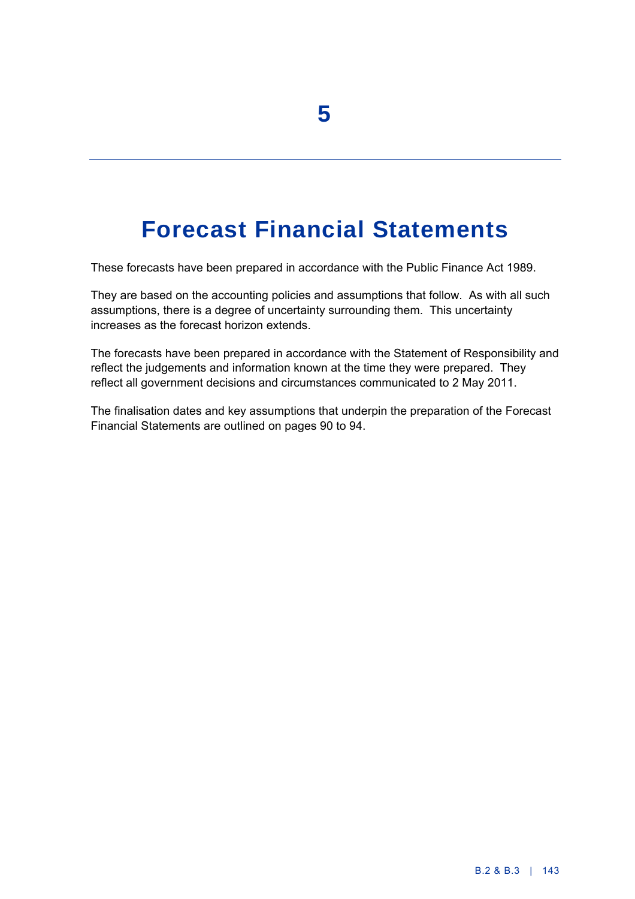# **Forecast Financial Statements**

These forecasts have been prepared in accordance with the Public Finance Act 1989.

They are based on the accounting policies and assumptions that follow. As with all such assumptions, there is a degree of uncertainty surrounding them. This uncertainty increases as the forecast horizon extends.

The forecasts have been prepared in accordance with the Statement of Responsibility and reflect the judgements and information known at the time they were prepared. They reflect all government decisions and circumstances communicated to 2 May 2011.

The finalisation dates and key assumptions that underpin the preparation of the Forecast Financial Statements are outlined on pages 90 to 94.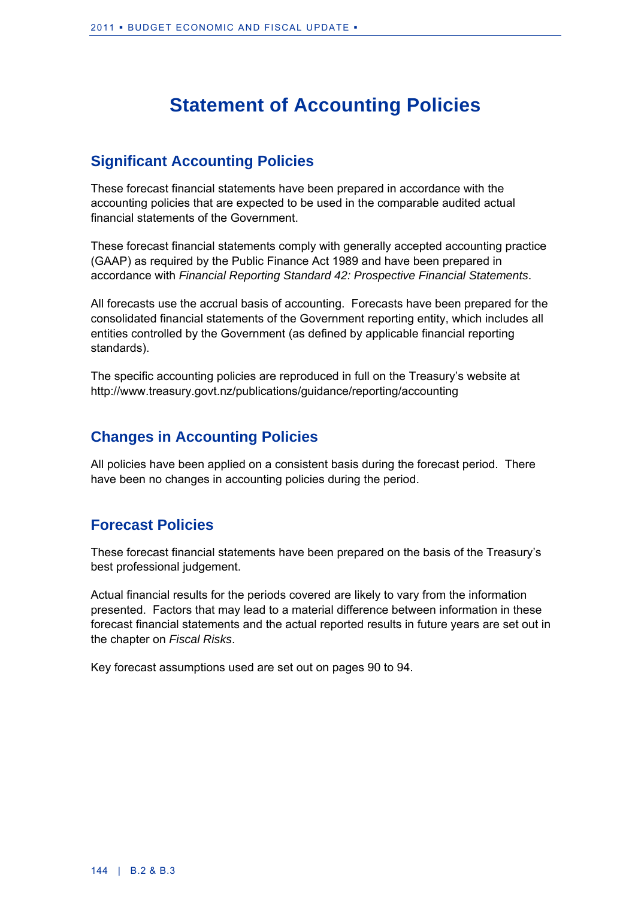## **Statement of Accounting Policies**

### **Significant Accounting Policies**

These forecast financial statements have been prepared in accordance with the accounting policies that are expected to be used in the comparable audited actual financial statements of the Government.

These forecast financial statements comply with generally accepted accounting practice (GAAP) as required by the Public Finance Act 1989 and have been prepared in accordance with *Financial Reporting Standard 42: Prospective Financial Statements*.

All forecasts use the accrual basis of accounting. Forecasts have been prepared for the consolidated financial statements of the Government reporting entity, which includes all entities controlled by the Government (as defined by applicable financial reporting standards).

The specific accounting policies are reproduced in full on the Treasury's website at http://www.treasury.govt.nz/publications/guidance/reporting/accounting

### **Changes in Accounting Policies**

All policies have been applied on a consistent basis during the forecast period. There have been no changes in accounting policies during the period.

## **Forecast Policies**

These forecast financial statements have been prepared on the basis of the Treasury's best professional judgement.

Actual financial results for the periods covered are likely to vary from the information presented. Factors that may lead to a material difference between information in these forecast financial statements and the actual reported results in future years are set out in the chapter on *Fiscal Risks*.

Key forecast assumptions used are set out on pages 90 to 94.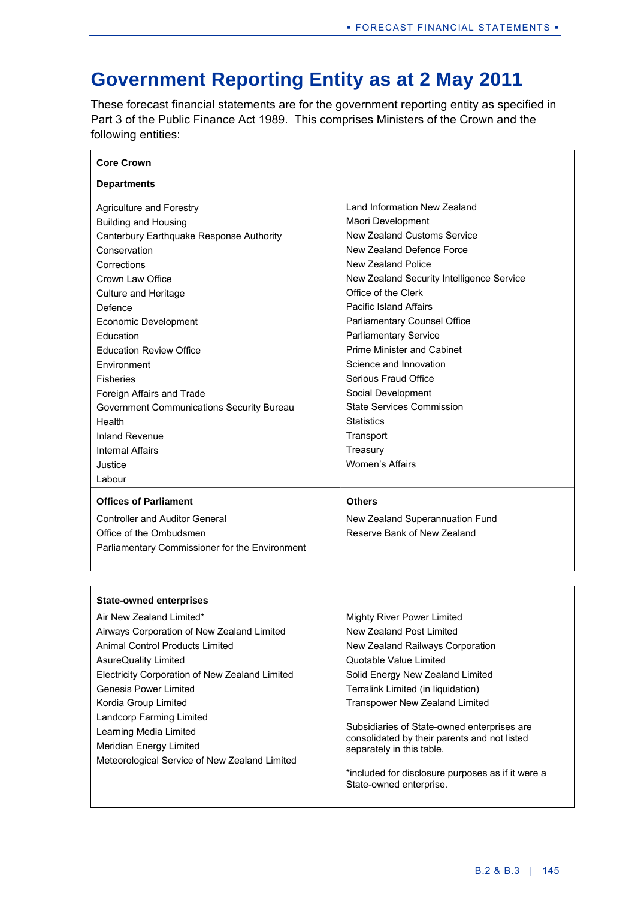## **Government Reporting Entity as at 2 May 2011**

These forecast financial statements are for the government reporting entity as specified in Part 3 of the Public Finance Act 1989. This comprises Ministers of the Crown and the following entities:

| <b>Departments</b>                        |                                           |
|-------------------------------------------|-------------------------------------------|
| Agriculture and Forestry                  | Land Information New Zealand              |
| <b>Building and Housing</b>               | Māori Development                         |
| Canterbury Earthquake Response Authority  | New Zealand Customs Service               |
| Conservation                              | New Zealand Defence Force                 |
| Corrections                               | New Zealand Police                        |
| Crown Law Office                          | New Zealand Security Intelligence Service |
| Culture and Heritage                      | Office of the Clerk                       |
| Defence                                   | <b>Pacific Island Affairs</b>             |
| Economic Development                      | <b>Parliamentary Counsel Office</b>       |
| Education                                 | <b>Parliamentary Service</b>              |
| <b>Education Review Office</b>            | Prime Minister and Cabinet                |
| <b>Fnvironment</b>                        | Science and Innovation                    |
| <b>Fisheries</b>                          | Serious Fraud Office                      |
| Foreign Affairs and Trade                 | Social Development                        |
| Government Communications Security Bureau | <b>State Services Commission</b>          |
| Health                                    | <b>Statistics</b>                         |
| Inland Revenue                            | Transport                                 |
| <b>Internal Affairs</b>                   | Treasury                                  |
| Justice                                   | Women's Affairs                           |
| Labour                                    |                                           |

#### **Offices of Parliament Others**

**Core Crown** 

Controller and Auditor General Office of the Ombudsmen Parliamentary Commissioner for the Environment

New Zealand Superannuation Fund Reserve Bank of New Zealand

#### **State-owned enterprises**

Air New Zealand Limited\* Airways Corporation of New Zealand Limited Animal Control Products Limited AsureQuality Limited Electricity Corporation of New Zealand Limited Genesis Power Limited Kordia Group Limited Landcorp Farming Limited Learning Media Limited Meridian Energy Limited Meteorological Service of New Zealand Limited Mighty River Power Limited New Zealand Post Limited New Zealand Railways Corporation Quotable Value Limited Solid Energy New Zealand Limited

Terralink Limited (in liquidation)

Transpower New Zealand Limited

Subsidiaries of State-owned enterprises are consolidated by their parents and not listed separately in this table.

\*included for disclosure purposes as if it were a State-owned enterprise.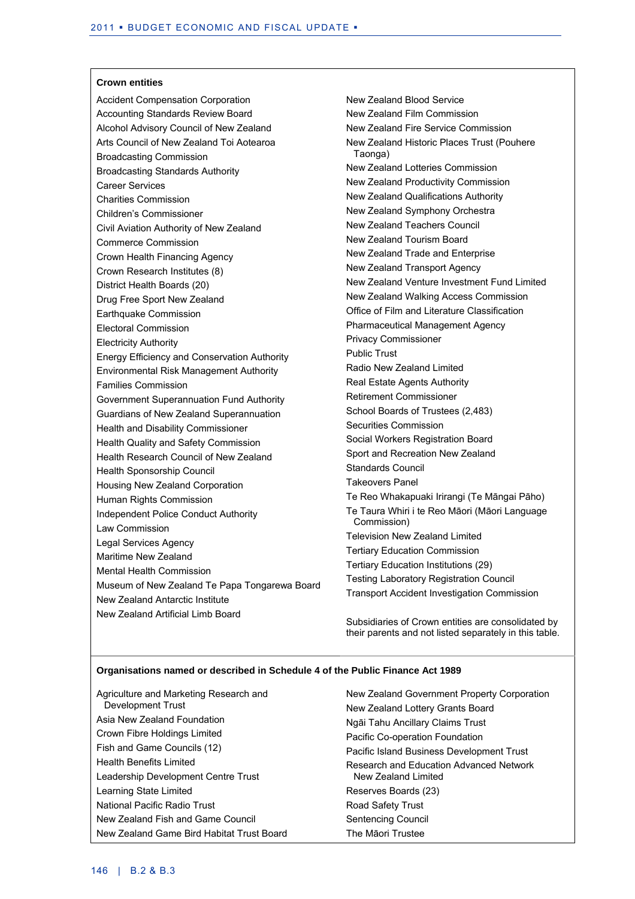#### **Crown entities**

Accident Compensation Corporation Accounting Standards Review Board Alcohol Advisory Council of New Zealand Arts Council of New Zealand Toi Aotearoa Broadcasting Commission Broadcasting Standards Authority Career Services Charities Commission Children's Commissioner Civil Aviation Authority of New Zealand Commerce Commission Crown Health Financing Agency Crown Research Institutes (8) District Health Boards (20) Drug Free Sport New Zealand Earthquake Commission Electoral Commission Electricity Authority Energy Efficiency and Conservation Authority Environmental Risk Management Authority Families Commission Government Superannuation Fund Authority Guardians of New Zealand Superannuation Health and Disability Commissioner Health Quality and Safety Commission Health Research Council of New Zealand Health Sponsorship Council Housing New Zealand Corporation Human Rights Commission Independent Police Conduct Authority Law Commission Legal Services Agency Maritime New Zealand Mental Health Commission Museum of New Zealand Te Papa Tongarewa Board New Zealand Antarctic Institute New Zealand Artificial Limb Board

New Zealand Blood Service New Zealand Film Commission New Zealand Fire Service Commission New Zealand Historic Places Trust (Pouhere Taonga) New Zealand Lotteries Commission New Zealand Productivity Commission New Zealand Qualifications Authority New Zealand Symphony Orchestra New Zealand Teachers Council New Zealand Tourism Board New Zealand Trade and Enterprise New Zealand Transport Agency New Zealand Venture Investment Fund Limited New Zealand Walking Access Commission Office of Film and Literature Classification Pharmaceutical Management Agency Privacy Commissioner Public Trust Radio New Zealand Limited Real Estate Agents Authority Retirement Commissioner School Boards of Trustees (2,483) Securities Commission Social Workers Registration Board Sport and Recreation New Zealand Standards Council Takeovers Panel Te Reo Whakapuaki Irirangi (Te Māngai Pāho) Te Taura Whiri i te Reo Māori (Māori Language Commission) Television New Zealand Limited Tertiary Education Commission Tertiary Education Institutions (29) Testing Laboratory Registration Council Transport Accident Investigation Commission

Subsidiaries of Crown entities are consolidated by their parents and not listed separately in this table.

#### **Organisations named or described in Schedule 4 of the Public Finance Act 1989**

| Agriculture and Marketing Research and    | New Zealand Government Property Corporation |
|-------------------------------------------|---------------------------------------------|
| Development Trust                         | New Zealand Lottery Grants Board            |
| Asia New Zealand Foundation               | Ngāi Tahu Ancillary Claims Trust            |
| Crown Fibre Holdings Limited              | Pacific Co-operation Foundation             |
| Fish and Game Councils (12)               | Pacific Island Business Development Trust   |
| <b>Health Benefits Limited</b>            | Research and Education Advanced Network     |
| Leadership Development Centre Trust       | New Zealand Limited                         |
| Learning State Limited                    | Reserves Boards (23)                        |
| National Pacific Radio Trust              | Road Safety Trust                           |
| New Zealand Fish and Game Council         | Sentencing Council                          |
| New Zealand Game Bird Habitat Trust Board | The Māori Trustee                           |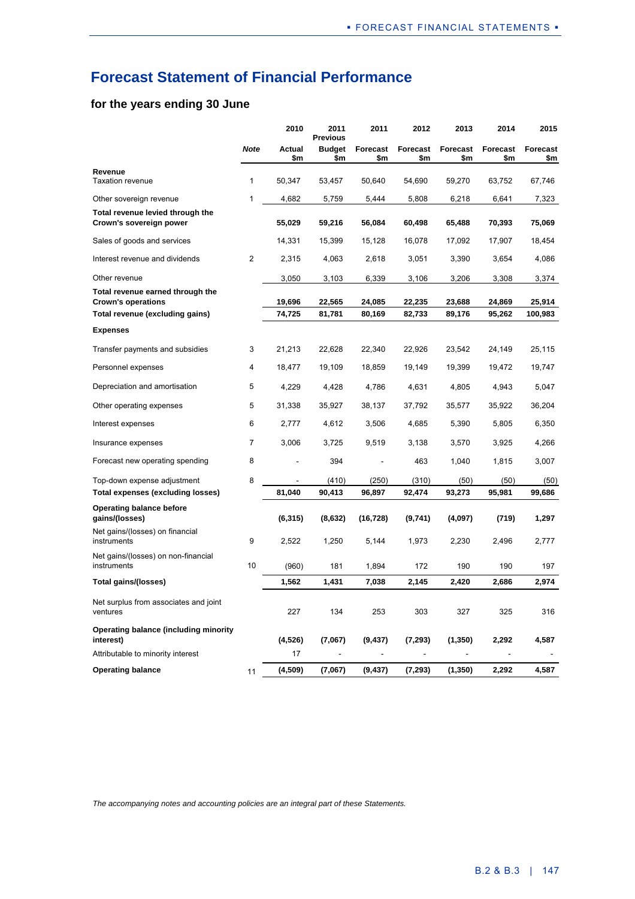## **Forecast Statement of Financial Performance**

### **for the years ending 30 June**

|                                                               |                | 2010          | 2011<br><b>Previous</b> | 2011            | 2012            | 2013                   | 2014            | 2015                   |
|---------------------------------------------------------------|----------------|---------------|-------------------------|-----------------|-----------------|------------------------|-----------------|------------------------|
|                                                               | <b>Note</b>    | Actual<br>\$m | <b>Budget</b><br>\$m    | Forecast<br>\$m | Forecast<br>\$m | <b>Forecast</b><br>\$m | Forecast<br>\$m | <b>Forecast</b><br>\$m |
| Revenue<br><b>Taxation revenue</b>                            | 1              | 50,347        | 53,457                  | 50,640          | 54,690          | 59,270                 | 63,752          | 67,746                 |
| Other sovereign revenue                                       | 1              | 4,682         | 5,759                   | 5,444           | 5,808           | 6,218                  | 6,641           | 7,323                  |
| Total revenue levied through the<br>Crown's sovereign power   |                | 55,029        | 59,216                  | 56,084          | 60,498          | 65,488                 | 70,393          | 75,069                 |
| Sales of goods and services                                   |                | 14,331        | 15,399                  | 15,128          | 16,078          | 17,092                 | 17,907          | 18,454                 |
| Interest revenue and dividends                                | $\overline{2}$ | 2,315         | 4,063                   | 2,618           | 3,051           | 3,390                  | 3,654           | 4,086                  |
| Other revenue                                                 |                | 3,050         | 3,103                   | 6,339           | 3,106           | 3,206                  | 3,308           | 3,374                  |
| Total revenue earned through the<br><b>Crown's operations</b> |                | 19,696        | 22,565                  | 24,085          | 22,235          | 23,688                 | 24,869          | 25,914                 |
| Total revenue (excluding gains)                               |                | 74,725        | 81,781                  | 80,169          | 82,733          | 89,176                 | 95,262          | 100,983                |
| <b>Expenses</b>                                               |                |               |                         |                 |                 |                        |                 |                        |
| Transfer payments and subsidies                               | 3              | 21,213        | 22,628                  | 22,340          | 22,926          | 23,542                 | 24,149          | 25,115                 |
| Personnel expenses                                            | 4              | 18,477        | 19,109                  | 18,859          | 19,149          | 19,399                 | 19,472          | 19,747                 |
| Depreciation and amortisation                                 | 5              | 4,229         | 4,428                   | 4,786           | 4,631           | 4,805                  | 4,943           | 5,047                  |
| Other operating expenses                                      | 5              | 31,338        | 35,927                  | 38,137          | 37,792          | 35,577                 | 35,922          | 36,204                 |
| Interest expenses                                             | 6              | 2,777         | 4,612                   | 3,506           | 4,685           | 5,390                  | 5,805           | 6,350                  |
| Insurance expenses                                            | $\overline{7}$ | 3,006         | 3,725                   | 9,519           | 3,138           | 3,570                  | 3,925           | 4,266                  |
| Forecast new operating spending                               | 8              |               | 394                     |                 | 463             | 1,040                  | 1,815           | 3,007                  |
| Top-down expense adjustment                                   | 8              |               | (410)                   | (250)           | (310)           | (50)                   | (50)            | (50)                   |
| Total expenses (excluding losses)                             |                | 81,040        | 90,413                  | 96,897          | 92,474          | 93,273                 | 95,981          | 99,686                 |
| <b>Operating balance before</b><br>gains/(losses)             |                | (6, 315)      | (8,632)                 | (16, 728)       | (9,741)         | (4,097)                | (719)           | 1,297                  |
| Net gains/(losses) on financial<br>instruments                | 9              | 2,522         | 1,250                   | 5,144           | 1,973           | 2,230                  | 2,496           | 2,777                  |
| Net gains/(losses) on non-financial<br>instruments            | 10             | (960)         | 181                     | 1,894           | 172             | 190                    | 190             | 197                    |
| Total gains/(losses)                                          |                | 1,562         | 1,431                   | 7,038           | 2,145           | 2,420                  | 2,686           | 2,974                  |
| Net surplus from associates and joint<br>ventures             |                | 227           | 134                     | 253             | 303             | 327                    | 325             | 316                    |
| Operating balance (including minority<br>interest)            |                | (4,526)       | (7,067)                 | (9, 437)        | (7, 293)        | (1, 350)               | 2,292           | 4,587                  |
| Attributable to minority interest                             |                | 17            |                         |                 |                 |                        |                 |                        |
| <b>Operating balance</b>                                      | 11             | (4,509)       | (7,067)                 | (9, 437)        | (7, 293)        | (1, 350)               | 2,292           | 4,587                  |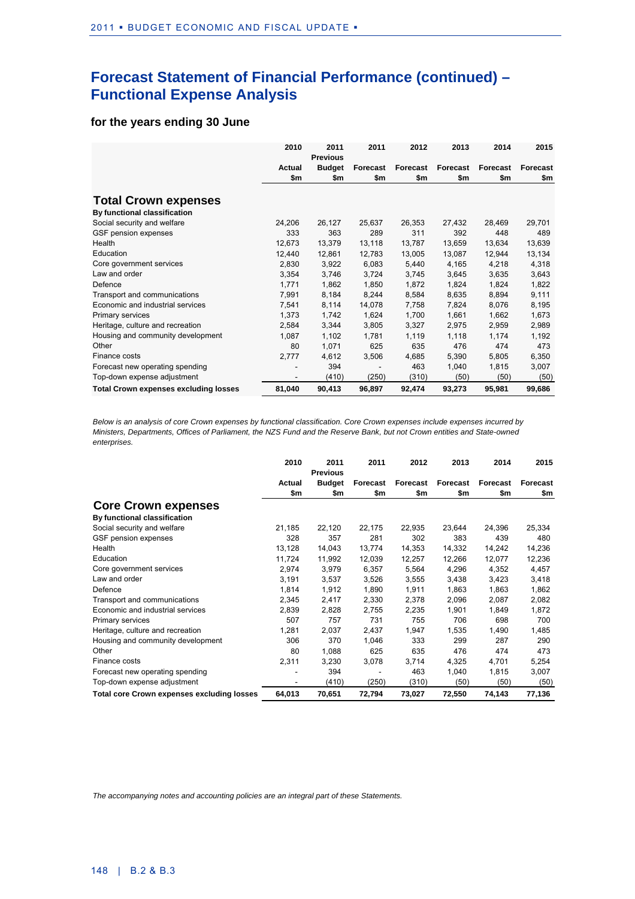## **Forecast Statement of Financial Performance (continued) – Functional Expense Analysis**

### **for the years ending 30 June**

|                                              | 2010   | 2011<br><b>Previous</b> | 2011     | 2012     | 2013     | 2014     | 2015     |
|----------------------------------------------|--------|-------------------------|----------|----------|----------|----------|----------|
|                                              | Actual | <b>Budget</b>           | Forecast | Forecast | Forecast | Forecast | Forecast |
|                                              | \$m    | \$m                     | \$m      | \$m      | \$m      | \$m      | \$m      |
| <b>Total Crown expenses</b>                  |        |                         |          |          |          |          |          |
| By functional classification                 |        |                         |          |          |          |          |          |
| Social security and welfare                  | 24,206 | 26,127                  | 25,637   | 26,353   | 27,432   | 28,469   | 29,701   |
| GSF pension expenses                         | 333    | 363                     | 289      | 311      | 392      | 448      | 489      |
| Health                                       | 12,673 | 13,379                  | 13,118   | 13,787   | 13,659   | 13,634   | 13,639   |
| Education                                    | 12,440 | 12,861                  | 12,783   | 13,005   | 13,087   | 12,944   | 13,134   |
| Core government services                     | 2,830  | 3,922                   | 6,083    | 5,440    | 4,165    | 4,218    | 4,318    |
| Law and order                                | 3,354  | 3,746                   | 3,724    | 3,745    | 3,645    | 3,635    | 3,643    |
| Defence                                      | 1,771  | 1,862                   | 1,850    | 1,872    | 1,824    | 1,824    | 1,822    |
| Transport and communications                 | 7,991  | 8,184                   | 8,244    | 8,584    | 8,635    | 8,894    | 9,111    |
| Economic and industrial services             | 7,541  | 8,114                   | 14,078   | 7,758    | 7,824    | 8,076    | 8,195    |
| Primary services                             | 1,373  | 1,742                   | 1,624    | 1,700    | 1,661    | 1,662    | 1,673    |
| Heritage, culture and recreation             | 2,584  | 3,344                   | 3,805    | 3,327    | 2,975    | 2,959    | 2,989    |
| Housing and community development            | 1,087  | 1,102                   | 1,781    | 1,119    | 1,118    | 1,174    | 1,192    |
| Other                                        | 80     | 1,071                   | 625      | 635      | 476      | 474      | 473      |
| Finance costs                                | 2,777  | 4,612                   | 3,506    | 4,685    | 5,390    | 5,805    | 6,350    |
| Forecast new operating spending              |        | 394                     |          | 463      | 1,040    | 1,815    | 3,007    |
| Top-down expense adjustment                  |        | (410)                   | (250)    | (310)    | (50)     | (50)     | (50)     |
| <b>Total Crown expenses excluding losses</b> | 81,040 | 90,413                  | 96,897   | 92,474   | 93,273   | 95,981   | 99,686   |

*Below is an analysis of core Crown expenses by functional classification. Core Crown expenses include expenses incurred by Ministers, Departments, Offices of Parliament, the NZS Fund and the Reserve Bank, but not Crown entities and State-owned enterprises.*

|                                                   | 2010          | 2011<br><b>Previous</b> | 2011            | 2012            | 2013            | 2014            | 2015            |
|---------------------------------------------------|---------------|-------------------------|-----------------|-----------------|-----------------|-----------------|-----------------|
|                                                   | Actual<br>\$m | <b>Budget</b><br>\$m    | Forecast<br>\$m | Forecast<br>\$m | Forecast<br>\$m | Forecast<br>\$m | Forecast<br>\$m |
| <b>Core Crown expenses</b>                        |               |                         |                 |                 |                 |                 |                 |
| By functional classification                      |               |                         |                 |                 |                 |                 |                 |
| Social security and welfare                       | 21,185        | 22,120                  | 22,175          | 22,935          | 23,644          | 24,396          | 25,334          |
| GSF pension expenses                              | 328           | 357                     | 281             | 302             | 383             | 439             | 480             |
| Health                                            | 13,128        | 14,043                  | 13.774          | 14,353          | 14,332          | 14,242          | 14,236          |
| Education                                         | 11,724        | 11,992                  | 12,039          | 12,257          | 12,266          | 12,077          | 12,236          |
| Core government services                          | 2,974         | 3,979                   | 6,357           | 5,564           | 4,296           | 4,352           | 4,457           |
| Law and order                                     | 3,191         | 3,537                   | 3,526           | 3,555           | 3,438           | 3,423           | 3,418           |
| Defence                                           | 1,814         | 1,912                   | 1,890           | 1,911           | 1,863           | 1,863           | 1,862           |
| Transport and communications                      | 2,345         | 2,417                   | 2,330           | 2,378           | 2,096           | 2,087           | 2,082           |
| Economic and industrial services                  | 2,839         | 2,828                   | 2,755           | 2,235           | 1,901           | 1,849           | 1,872           |
| Primary services                                  | 507           | 757                     | 731             | 755             | 706             | 698             | 700             |
| Heritage, culture and recreation                  | 1,281         | 2,037                   | 2,437           | 1,947           | 1,535           | 1,490           | 1,485           |
| Housing and community development                 | 306           | 370                     | 1,046           | 333             | 299             | 287             | 290             |
| Other                                             | 80            | 1,088                   | 625             | 635             | 476             | 474             | 473             |
| Finance costs                                     | 2,311         | 3,230                   | 3,078           | 3,714           | 4,325           | 4,701           | 5,254           |
| Forecast new operating spending                   |               | 394                     |                 | 463             | 1,040           | 1,815           | 3,007           |
| Top-down expense adjustment                       |               | (410)                   | (250)           | (310)           | (50)            | (50)            | (50)            |
| <b>Total core Crown expenses excluding losses</b> | 64,013        | 70,651                  | 72,794          | 73,027          | 72,550          | 74,143          | 77,136          |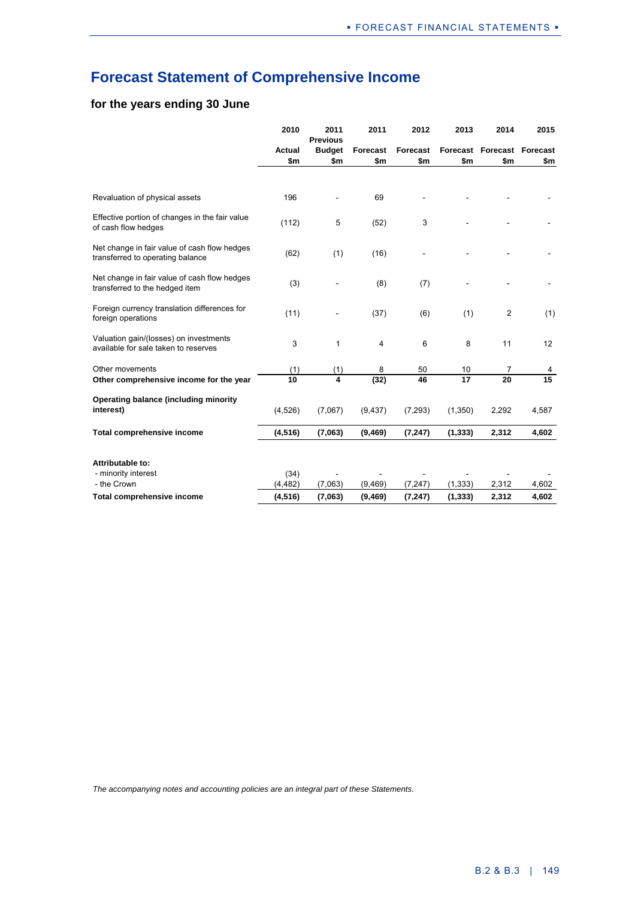## **Forecast Statement of Comprehensive Income**

### **for the years ending 30 June**

|                                                                                  | 2010             | 2011<br><b>Previous</b> | 2011            | 2012     | 2013     | 2014                       | 2015            |
|----------------------------------------------------------------------------------|------------------|-------------------------|-----------------|----------|----------|----------------------------|-----------------|
|                                                                                  | Actual           | <b>Budget</b>           | <b>Forecast</b> | Forecast |          | Forecast Forecast Forecast |                 |
|                                                                                  | \$m              | \$m                     | \$m             | \$m      | \$m      | \$m                        | \$m             |
|                                                                                  |                  |                         |                 |          |          |                            |                 |
| Revaluation of physical assets                                                   | 196              |                         | 69              |          |          |                            |                 |
| Effective portion of changes in the fair value<br>of cash flow hedges            | (112)            | 5                       | (52)            | 3        |          |                            |                 |
| Net change in fair value of cash flow hedges<br>transferred to operating balance | (62)             | (1)                     | (16)            |          |          |                            |                 |
| Net change in fair value of cash flow hedges<br>transferred to the hedged item   | (3)              |                         | (8)             | (7)      |          |                            |                 |
| Foreign currency translation differences for<br>foreign operations               | (11)             |                         | (37)            | (6)      | (1)      | $\overline{2}$             | (1)             |
| Valuation gain/(losses) on investments<br>available for sale taken to reserves   | 3                | $\mathbf{1}$            | 4               | 6        | 8        | 11                         | 12              |
| Other movements                                                                  | (1)              | (1)                     | 8               | 50       | 10       | 7                          | 4               |
| Other comprehensive income for the year                                          | 10               | $\overline{\mathbf{A}}$ | (32)            | 46       | 17       | $\overline{20}$            | $\overline{15}$ |
| Operating balance (including minority<br>interest)                               | (4,526)          | (7,067)                 | (9, 437)        | (7, 293) | (1,350)  | 2,292                      | 4,587           |
| Total comprehensive income                                                       | (4, 516)         | (7,063)                 | (9, 469)        | (7, 247) | (1, 333) | 2,312                      | 4,602           |
| Attributable to:<br>- minority interest<br>- the Crown                           | (34)<br>(4, 482) | (7,063)                 | (9, 469)        | (7, 247) | (1, 333) | 2,312                      | 4,602           |
| Total comprehensive income                                                       | (4, 516)         | (7,063)                 | (9,469)         | (7, 247) | (1, 333) | 2,312                      | 4,602           |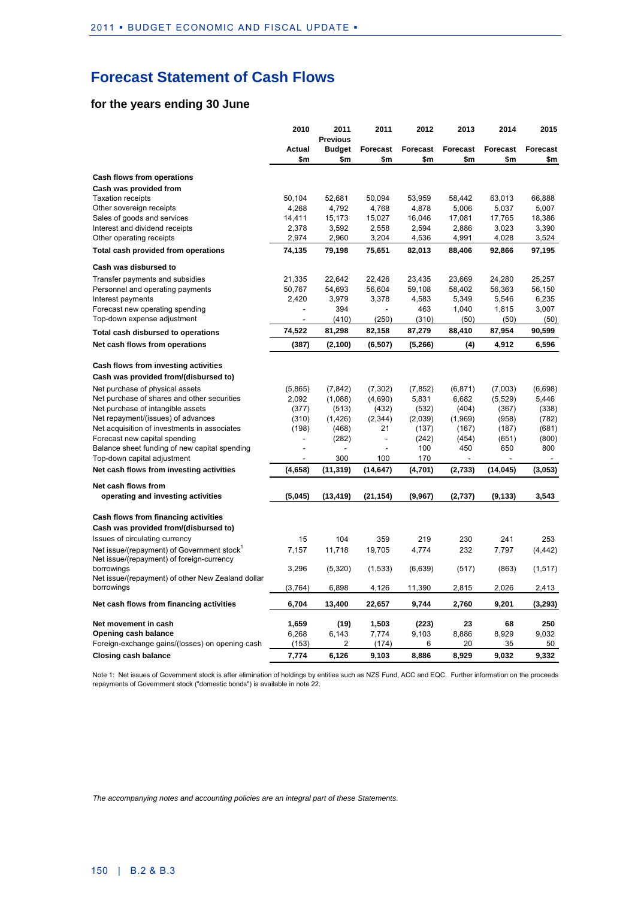## **Forecast Statement of Cash Flows**

### **for the years ending 30 June**

|                                                                                        | 2010          | 2011<br><b>Previous</b> | 2011                     | 2012            | 2013            | 2014            | 2015            |
|----------------------------------------------------------------------------------------|---------------|-------------------------|--------------------------|-----------------|-----------------|-----------------|-----------------|
|                                                                                        | Actual<br>\$m | <b>Budget</b><br>\$m    | Forecast<br>\$m          | Forecast<br>\$m | Forecast<br>\$m | Forecast<br>\$m | Forecast<br>\$m |
| Cash flows from operations                                                             |               |                         |                          |                 |                 |                 |                 |
| Cash was provided from                                                                 |               |                         |                          |                 |                 |                 |                 |
| <b>Taxation receipts</b>                                                               | 50,104        | 52.681                  | 50,094                   | 53,959          | 58.442          | 63.013          | 66,888          |
| Other sovereign receipts                                                               | 4,268         | 4,792                   | 4,768                    | 4,878           | 5,006           | 5,037           | 5,007           |
| Sales of goods and services                                                            | 14,411        | 15,173                  | 15,027                   | 16,046          | 17,081          | 17,765          | 18,386          |
| Interest and dividend receipts                                                         | 2,378         | 3,592                   | 2,558                    | 2,594           | 2,886           | 3,023           | 3,390           |
| Other operating receipts                                                               | 2,974         | 2,960                   | 3,204                    | 4,536           | 4,991           | 4,028           | 3,524           |
| Total cash provided from operations                                                    | 74,135        | 79,198                  | 75,651                   | 82,013          | 88,406          | 92,866          | 97,195          |
| Cash was disbursed to                                                                  |               |                         |                          |                 |                 |                 |                 |
| Transfer payments and subsidies                                                        | 21,335        | 22,642                  | 22,426                   | 23,435          | 23,669          | 24,280          | 25,257          |
| Personnel and operating payments                                                       | 50,767        | 54,693                  | 56,604                   | 59,108          | 58,402          | 56,363          | 56,150          |
| Interest payments                                                                      | 2,420         | 3,979                   | 3,378                    | 4,583           | 5,349           | 5,546           | 6,235           |
| Forecast new operating spending                                                        | ÷             | 394                     |                          | 463             | 1,040           | 1,815           | 3,007           |
| Top-down expense adjustment                                                            |               | (410)                   | (250)                    | (310)           | (50)            | (50)            | (50)            |
| Total cash disbursed to operations                                                     | 74,522        | 81,298                  | 82,158                   | 87,279          | 88,410          | 87,954          | 90,599          |
| Net cash flows from operations                                                         | (387)         | (2, 100)                | (6, 507)                 | (5,266)         | (4)             | 4,912           | 6,596           |
| Cash flows from investing activities                                                   |               |                         |                          |                 |                 |                 |                 |
| Cash was provided from/(disbursed to)                                                  |               |                         |                          |                 |                 |                 |                 |
| Net purchase of physical assets                                                        | (5,865)       | (7, 842)                | (7, 302)                 | (7, 852)        | (6, 871)        | (7,003)         | (6,698)         |
| Net purchase of shares and other securities                                            | 2,092         | (1,088)                 | (4,690)                  | 5,831           | 6,682           | (5, 529)        | 5,446           |
| Net purchase of intangible assets                                                      | (377)         | (513)                   | (432)                    | (532)           | (404)           | (367)           | (338)           |
| Net repayment/(issues) of advances                                                     | (310)         | (1, 426)                | (2, 344)                 | (2,039)         | (1,969)         | (958)           | (782)           |
| Net acquisition of investments in associates                                           | (198)         | (468)                   | 21                       | (137)           | (167)           | (187)           | (681)           |
| Forecast new capital spending                                                          | ä,            | (282)                   | $\overline{\phantom{a}}$ | (242)           | (454)           | (651)           | (800)           |
| Balance sheet funding of new capital spending                                          |               |                         |                          | 100             | 450             | 650             | 800             |
| Top-down capital adjustment                                                            |               | 300                     | 100                      | 170             |                 |                 |                 |
| Net cash flows from investing activities                                               | (4,658)       | (11, 319)               | (14, 647)                | (4,701)         | (2,733)         | (14, 045)       | (3,053)         |
| Net cash flows from                                                                    |               |                         |                          |                 |                 |                 |                 |
| operating and investing activities                                                     | (5,045)       | (13,419)                | (21, 154)                | (9,967)         | (2,737)         | (9, 133)        | 3,543           |
| Cash flows from financing activities                                                   |               |                         |                          |                 |                 |                 |                 |
| Cash was provided from/(disbursed to)                                                  |               |                         |                          |                 |                 |                 |                 |
| Issues of circulating currency                                                         | 15            | 104                     | 359                      | 219             | 230             | 241             | 253             |
| Net issue/(repayment) of Government stock<br>Net issue/(repayment) of foreign-currency | 7,157         | 11,718                  | 19,705                   | 4,774           | 232             | 7,797           | (4, 442)        |
| borrowings                                                                             | 3,296         | (5,320)                 | (1,533)                  | (6,639)         | (517)           | (863)           | (1, 517)        |
| Net issue/(repayment) of other New Zealand dollar<br>borrowings                        | (3,764)       | 6,898                   | 4,126                    | 11,390          | 2,815           | 2,026           | 2,413           |
| Net cash flows from financing activities                                               | 6,704         | 13,400                  | 22,657                   | 9,744           | 2,760           | 9,201           | (3,293)         |
| Net movement in cash                                                                   | 1,659         | (19)                    | 1,503                    | (223)           | 23              | 68              | 250             |
| Opening cash balance                                                                   | 6,268         | 6,143                   | 7,774                    | 9,103           | 8,886           | 8,929           | 9,032           |
| Foreign-exchange gains/(losses) on opening cash                                        | (153)         | 2                       | (174)                    | 6               | 20              | 35              | 50              |
| <b>Closing cash balance</b>                                                            | 7,774         | 6,126                   | 9,103                    | 8,886           | 8,929           | 9,032           | 9,332           |

Note 1: Net issues of Government stock is after elimination of holdings by entities such as NZS Fund, ACC and EQC. Further information on the proceeds repayments of Government stock ("domestic bonds") is available in note 22.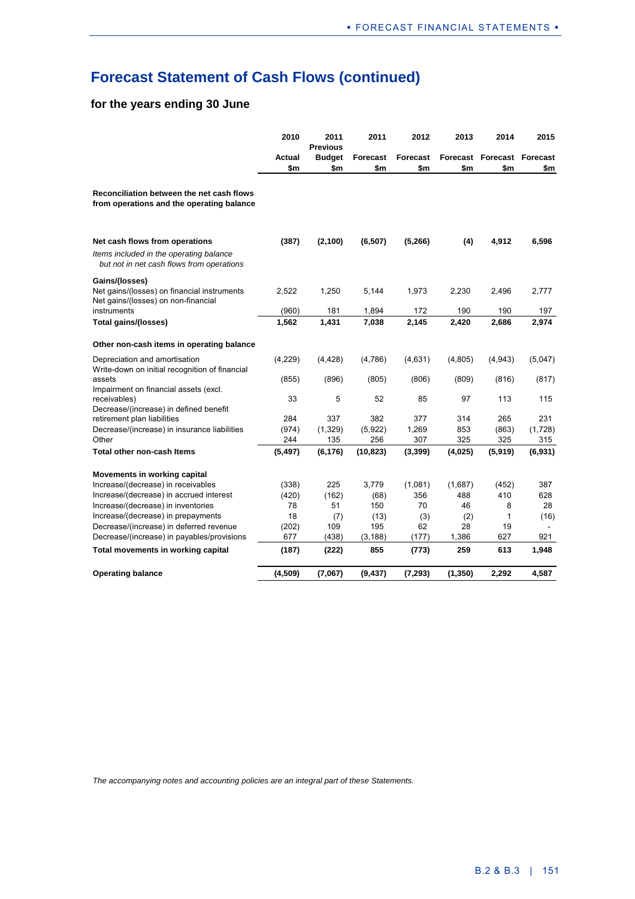## **Forecast Statement of Cash Flows (continued)**

### **for the years ending 30 June**

|                                                                                        | 2010          | 2011<br><b>Previous</b> | 2011                   | 2012            | 2013     | 2014                              | 2015    |
|----------------------------------------------------------------------------------------|---------------|-------------------------|------------------------|-----------------|----------|-----------------------------------|---------|
|                                                                                        | Actual<br>\$m | <b>Budget</b><br>\$m    | <b>Forecast</b><br>\$m | Forecast<br>\$m | \$m      | Forecast Forecast Forecast<br>\$m | \$m     |
| Reconciliation between the net cash flows<br>from operations and the operating balance |               |                         |                        |                 |          |                                   |         |
| Net cash flows from operations                                                         | (387)         | (2, 100)                | (6, 507)               | (5, 266)        | (4)      | 4,912                             | 6,596   |
| Items included in the operating balance<br>but not in net cash flows from operations   |               |                         |                        |                 |          |                                   |         |
| Gains/(losses)                                                                         |               |                         |                        |                 |          |                                   |         |
| Net gains/(losses) on financial instruments                                            | 2,522         | 1,250                   | 5,144                  | 1,973           | 2,230    | 2,496                             | 2,777   |
| Net gains/(losses) on non-financial<br>instruments                                     | (960)         | 181                     | 1,894                  | 172             | 190      | 190                               | 197     |
| <b>Total gains/(losses)</b>                                                            | 1,562         | 1,431                   | 7,038                  | 2,145           | 2,420    | 2,686                             | 2,974   |
| Other non-cash items in operating balance                                              |               |                         |                        |                 |          |                                   |         |
| Depreciation and amortisation<br>Write-down on initial recognition of financial        | (4,229)       | (4, 428)                | (4,786)                | (4,631)         | (4,805)  | (4,943)                           | (5,047) |
| assets<br>Impairment on financial assets (excl.                                        | (855)         | (896)                   | (805)                  | (806)           | (809)    | (816)                             | (817)   |
| receivables)                                                                           | 33            | 5                       | 52                     | 85              | 97       | 113                               | 115     |
| Decrease/(increase) in defined benefit<br>retirement plan liabilities                  | 284           | 337                     | 382                    | 377             | 314      | 265                               | 231     |
| Decrease/(increase) in insurance liabilities                                           | (974)         | (1,329)                 | (5,922)                | 1,269           | 853      | (863)                             | (1,728) |
| Other                                                                                  | 244           | 135                     | 256                    | 307             | 325      | 325                               | 315     |
| Total other non-cash Items                                                             | (5, 497)      | (6, 176)                | (10, 823)              | (3, 399)        | (4,025)  | (5,919)                           | (6,931) |
| Movements in working capital                                                           |               |                         |                        |                 |          |                                   |         |
| Increase/(decrease) in receivables                                                     | (338)         | 225                     | 3,779                  | (1,081)         | (1,687)  | (452)                             | 387     |
| Increase/(decrease) in accrued interest                                                | (420)         | (162)                   | (68)                   | 356             | 488      | 410                               | 628     |
| Increase/(decrease) in inventories                                                     | 78            | 51                      | 150                    | 70              | 46       | 8                                 | 28      |
| Increase/(decrease) in prepayments                                                     | 18            | (7)                     | (13)                   | (3)             | (2)      | 1                                 | (16)    |
| Decrease/(increase) in deferred revenue                                                | (202)         | 109                     | 195                    | 62              | 28       | 19                                |         |
| Decrease/(increase) in payables/provisions                                             | 677           | (438)                   | (3, 188)               | (177)           | 1,386    | 627                               | 921     |
| Total movements in working capital                                                     | (187)         | (222)                   | 855                    | (773)           | 259      | 613                               | 1,948   |
| <b>Operating balance</b>                                                               | (4, 509)      | (7,067)                 | (9, 437)               | (7, 293)        | (1, 350) | 2,292                             | 4,587   |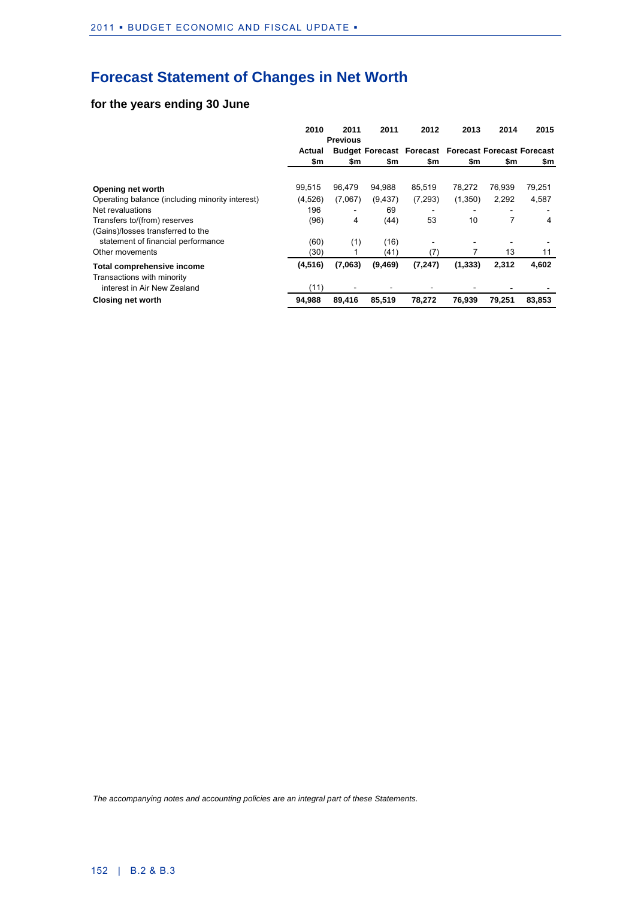## **Forecast Statement of Changes in Net Worth**

### **for the years ending 30 June**

|                                                 | 2010     | 2011            | 2011     | 2012                                                       | 2013     | 2014   | 2015   |
|-------------------------------------------------|----------|-----------------|----------|------------------------------------------------------------|----------|--------|--------|
|                                                 |          | <b>Previous</b> |          |                                                            |          |        |        |
|                                                 | Actual   |                 |          | <b>Budget Forecast Forecast Forecast Forecast Forecast</b> |          |        |        |
|                                                 | \$m      | \$m             | \$m      | \$m                                                        | \$m      | \$m    | \$m    |
|                                                 |          |                 |          |                                                            |          |        |        |
| Opening net worth                               | 99.515   | 96.479          | 94,988   | 85,519                                                     | 78.272   | 76.939 | 79,251 |
| Operating balance (including minority interest) | (4,526)  | (7,067)         | (9, 437) | (7, 293)                                                   | (1,350)  | 2,292  | 4,587  |
| Net revaluations                                | 196      |                 | 69       |                                                            |          |        |        |
| Transfers to/(from) reserves                    | (96)     | 4               | (44)     | 53                                                         | 10       | 7      | 4      |
| (Gains)/losses transferred to the               |          |                 |          |                                                            |          |        |        |
| statement of financial performance              | (60)     | (1)             | (16)     |                                                            |          |        |        |
| Other movements                                 | (30)     |                 | (41)     | (7)                                                        |          | 13     | 11     |
| Total comprehensive income                      | (4, 516) | (7,063)         | (9,469)  | (7, 247)                                                   | (1, 333) | 2,312  | 4,602  |
| Transactions with minority                      |          |                 |          |                                                            |          |        |        |
| interest in Air New Zealand                     | (11)     |                 |          |                                                            |          |        |        |
| <b>Closing net worth</b>                        | 94.988   | 89.416          | 85.519   | 78.272                                                     | 76.939   | 79.251 | 83.853 |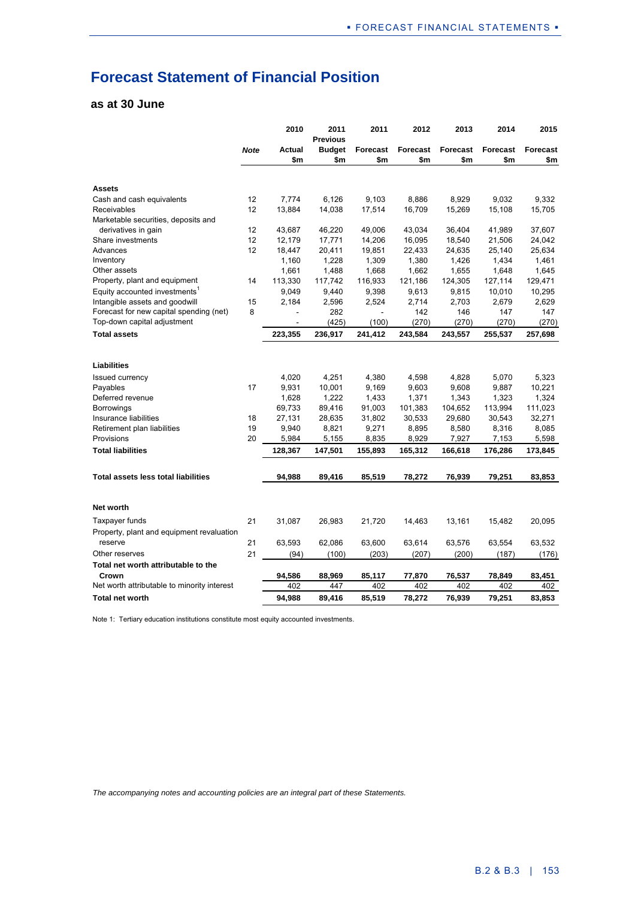## **Forecast Statement of Financial Position**

### **as at 30 June**

|                                             |             | 2010                 | 2011<br><b>Previous</b> | 2011                     | 2012             | 2013            | 2014            | 2015             |
|---------------------------------------------|-------------|----------------------|-------------------------|--------------------------|------------------|-----------------|-----------------|------------------|
|                                             | <b>Note</b> | <b>Actual</b><br>\$m | <b>Budget</b><br>\$m    | <b>Forecast</b><br>\$m   | Forecast<br>\$m  | Forecast<br>\$m | Forecast<br>\$m | Forecast<br>\$m  |
|                                             |             |                      |                         |                          |                  |                 |                 |                  |
| <b>Assets</b>                               |             |                      |                         |                          |                  |                 |                 |                  |
| Cash and cash equivalents                   | 12          | 7,774                | 6,126                   | 9,103                    | 8,886            | 8,929           | 9.032           | 9,332            |
| Receivables                                 | 12          | 13,884               | 14,038                  | 17,514                   | 16,709           | 15,269          | 15,108          | 15,705           |
| Marketable securities, deposits and         | 12          |                      |                         |                          |                  |                 |                 |                  |
| derivatives in gain                         | 12          | 43,687               | 46,220                  | 49,006                   | 43,034           | 36,404          | 41,989          | 37,607           |
| Share investments<br>Advances               | 12          | 12,179               | 17,771<br>20,411        | 14,206                   | 16,095<br>22,433 | 18,540          | 21,506          | 24,042<br>25,634 |
| Inventory                                   |             | 18,447<br>1,160      | 1,228                   | 19,851<br>1,309          | 1,380            | 24,635<br>1,426 | 25,140<br>1,434 | 1,461            |
| Other assets                                |             | 1,661                | 1,488                   | 1,668                    | 1,662            | 1,655           | 1,648           | 1,645            |
| Property, plant and equipment               | 14          | 113,330              | 117,742                 | 116,933                  | 121,186          | 124,305         | 127,114         | 129,471          |
| Equity accounted investments <sup>1</sup>   |             | 9,049                |                         |                          |                  |                 |                 | 10,295           |
| Intangible assets and goodwill              | 15          | 2,184                | 9,440<br>2,596          | 9,398<br>2,524           | 9,613<br>2,714   | 9,815<br>2,703  | 10,010<br>2,679 | 2,629            |
| Forecast for new capital spending (net)     | 8           | ä,                   | 282                     | $\overline{\phantom{a}}$ | 142              | 146             | 147             | 147              |
| Top-down capital adjustment                 |             | ä,                   | (425)                   | (100)                    | (270)            | (270)           | (270)           | (270)            |
| <b>Total assets</b>                         |             | 223,355              | 236,917                 | 241,412                  | 243,584          | 243,557         | 255,537         | 257,698          |
|                                             |             |                      |                         |                          |                  |                 |                 |                  |
| Liabilities                                 |             |                      |                         |                          |                  |                 |                 |                  |
| <b>Issued currency</b>                      |             | 4,020                | 4,251                   | 4,380                    | 4,598            | 4,828           | 5,070           | 5,323            |
| Payables                                    | 17          | 9,931                | 10,001                  | 9,169                    | 9,603            | 9,608           | 9,887           | 10,221           |
| Deferred revenue                            |             | 1,628                | 1,222                   | 1,433                    | 1,371            | 1,343           | 1,323           | 1,324            |
| Borrowings                                  |             | 69,733               | 89,416                  | 91,003                   | 101,383          | 104,652         | 113,994         | 111,023          |
| Insurance liabilities                       | 18          | 27,131               | 28,635                  | 31,802                   | 30,533           | 29,680          | 30,543          | 32,271           |
| Retirement plan liabilities                 | 19          | 9,940                | 8,821                   | 9,271                    | 8,895            | 8,580           | 8,316           | 8,085            |
| Provisions                                  | 20          | 5,984                | 5,155                   | 8,835                    | 8,929            | 7,927           | 7,153           | 5,598            |
| <b>Total liabilities</b>                    |             | 128,367              | 147,501                 | 155,893                  | 165,312          | 166,618         | 176,286         | 173,845          |
| Total assets less total liabilities         |             | 94,988               | 89,416                  | 85,519                   | 78,272           | 76,939          | 79,251          | 83,853           |
| <b>Net worth</b>                            |             |                      |                         |                          |                  |                 |                 |                  |
| Taxpayer funds                              | 21          | 31,087               | 26,983                  | 21,720                   | 14,463           | 13,161          | 15,482          | 20,095           |
| Property, plant and equipment revaluation   |             |                      |                         |                          |                  |                 |                 |                  |
| reserve                                     | 21          | 63,593               | 62,086                  | 63,600                   | 63,614           | 63,576          | 63,554          | 63,532           |
| Other reserves                              | 21          | (94)                 | (100)                   |                          |                  | (200)           | (187)           | (176)            |
| Total net worth attributable to the         |             |                      |                         | (203)                    | (207)            |                 |                 |                  |
| Crown                                       |             |                      |                         |                          |                  |                 |                 |                  |
| Net worth attributable to minority interest |             | 94,586<br>402        | 88,969<br>447           | 85,117<br>402            | 77,870<br>402    | 76,537<br>402   | 78,849<br>402   | 83,451<br>402    |
|                                             |             |                      |                         |                          |                  |                 |                 |                  |
| <b>Total net worth</b>                      |             | 94,988               | 89,416                  | 85,519                   | 78,272           | 76,939          | 79,251          | 83,853           |

Note 1: Tertiary education institutions constitute most equity accounted investments.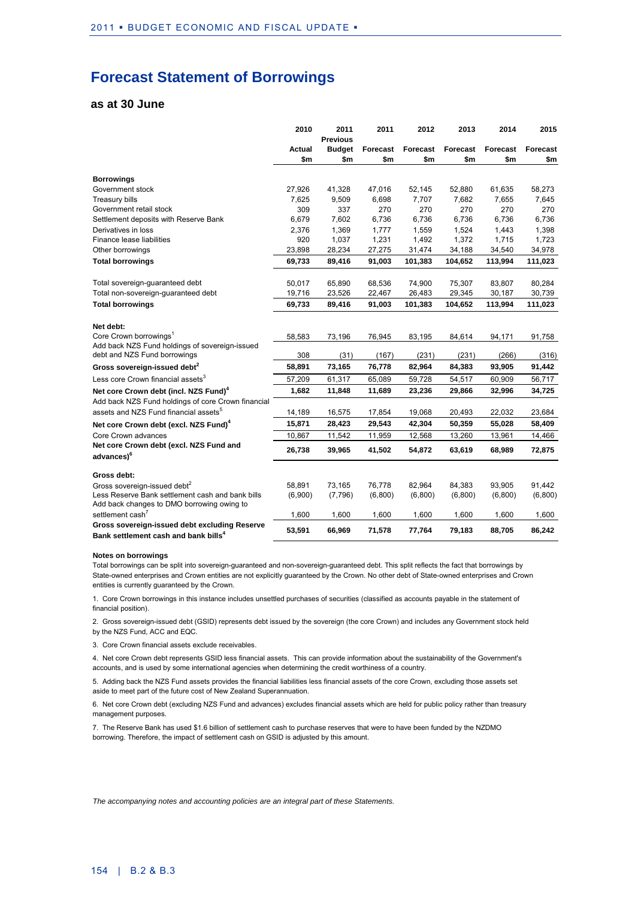### **Forecast Statement of Borrowings**

#### **as at 30 June**

|                                                                                                | 2010          | 2011<br><b>Previous</b> | 2011                   | 2012            | 2013                   | 2014            | 2015            |
|------------------------------------------------------------------------------------------------|---------------|-------------------------|------------------------|-----------------|------------------------|-----------------|-----------------|
|                                                                                                | Actual<br>\$m | <b>Budget</b><br>\$m    | <b>Forecast</b><br>\$m | Forecast<br>\$m | <b>Forecast</b><br>\$m | Forecast<br>\$m | Forecast<br>\$m |
|                                                                                                |               |                         |                        |                 |                        |                 |                 |
| <b>Borrowings</b>                                                                              |               |                         |                        |                 |                        |                 |                 |
| Government stock                                                                               | 27,926        | 41,328                  | 47,016                 | 52,145          | 52,880                 | 61,635          | 58,273          |
| <b>Treasury bills</b>                                                                          | 7,625         | 9,509                   | 6,698                  | 7,707           | 7,682                  | 7,655           | 7,645           |
| Government retail stock                                                                        | 309           | 337                     | 270                    | 270             | 270                    | 270             | 270             |
| Settlement deposits with Reserve Bank                                                          | 6,679         | 7,602                   | 6,736                  | 6,736           | 6,736                  | 6,736           | 6,736           |
| Derivatives in loss                                                                            | 2,376         | 1,369                   | 1,777                  | 1,559           | 1,524                  | 1,443           | 1,398           |
| Finance lease liabilities                                                                      | 920           | 1,037                   | 1,231                  | 1,492           | 1,372                  | 1,715           | 1,723           |
| Other borrowings                                                                               | 23,898        | 28,234                  | 27,275                 | 31,474          | 34,188                 | 34,540          | 34,978          |
| <b>Total borrowings</b>                                                                        | 69,733        | 89,416                  | 91,003                 | 101,383         | 104,652                | 113,994         | 111,023         |
| Total sovereign-guaranteed debt                                                                | 50,017        | 65,890                  | 68,536                 | 74,900          | 75,307                 | 83,807          | 80,284          |
| Total non-sovereign-guaranteed debt                                                            | 19,716        | 23,526                  | 22,467                 | 26,483          | 29,345                 | 30,187          | 30,739          |
| <b>Total borrowings</b>                                                                        | 69,733        | 89,416                  | 91,003                 | 101,383         | 104,652                | 113,994         | 111,023         |
| Net debt:                                                                                      |               |                         |                        |                 |                        |                 |                 |
| Core Crown borrowings <sup>1</sup>                                                             | 58,583        | 73,196                  | 76,945                 | 83,195          | 84,614                 | 94,171          | 91,758          |
| Add back NZS Fund holdings of sovereign-issued                                                 |               |                         |                        |                 |                        |                 |                 |
| debt and NZS Fund borrowings                                                                   | 308           | (31)                    | (167)                  | (231)           | (231)                  | (266)           | (316)           |
| Gross sovereign-issued debt <sup>2</sup>                                                       | 58,891        | 73,165                  | 76,778                 | 82,964          | 84,383                 | 93,905          | 91,442          |
| Less core Crown financial assets <sup>3</sup>                                                  | 57.209        | 61,317                  | 65,089                 | 59,728          | 54,517                 | 60,909          | 56,717          |
| Net core Crown debt (incl. NZS Fund) <sup>4</sup>                                              | 1,682         | 11,848                  | 11,689                 | 23,236          | 29,866                 | 32,996          | 34,725          |
| Add back NZS Fund holdings of core Crown financial                                             |               |                         |                        |                 |                        |                 |                 |
| assets and NZS Fund financial assets <sup>5</sup>                                              | 14,189        | 16,575                  | 17,854                 | 19,068          | 20,493                 | 22,032          | 23,684          |
| Net core Crown debt (excl. NZS Fund) <sup>4</sup>                                              | 15,871        | 28,423                  | 29,543                 | 42,304          | 50,359                 | 55,028          | 58,409          |
| Core Crown advances                                                                            | 10,867        | 11,542                  | 11,959                 | 12,568          | 13,260                 | 13,961          | 14,466          |
| Net core Crown debt (excl. NZS Fund and<br>advances) <sup>6</sup>                              | 26,738        | 39,965                  | 41,502                 | 54,872          | 63,619                 | 68,989          | 72,875          |
| Gross debt:                                                                                    |               |                         |                        |                 |                        |                 |                 |
| Gross sovereign-issued debt <sup>2</sup>                                                       | 58,891        | 73,165                  | 76,778                 | 82,964          | 84,383                 | 93,905          | 91,442          |
| Less Reserve Bank settlement cash and bank bills<br>Add back changes to DMO borrowing owing to | (6,900)       | (7,796)                 | (6,800)                | (6,800)         | (6,800)                | (6,800)         | (6,800)         |
| settlement cash <sup>7</sup>                                                                   | 1,600         | 1,600                   | 1,600                  | 1,600           | 1,600                  | 1,600           | 1,600           |
| Gross sovereign-issued debt excluding Reserve                                                  |               |                         |                        |                 |                        |                 |                 |
| Bank settlement cash and bank bills <sup>4</sup>                                               | 53,591        | 66,969                  | 71,578                 | 77,764          | 79,183                 | 88,705          | 86,242          |

#### **Notes on borrowings**

Total borrowings can be split into sovereign-guaranteed and non-sovereign-guaranteed debt. This split reflects the fact that borrowings by State-owned enterprises and Crown entities are not explicitly guaranteed by the Crown. No other debt of State-owned enterprises and Crown entities is currently guaranteed by the Crown.

1. Core Crown borrowings in this instance includes unsettled purchases of securities (classified as accounts payable in the statement of financial position).

2. Gross sovereign-issued debt (GSID) represents debt issued by the sovereign (the core Crown) and includes any Government stock held by the NZS Fund, ACC and EQC.

3. Core Crown financial assets exclude receivables.

4. Net core Crown debt represents GSID less financial assets. This can provide information about the sustainability of the Government's accounts, and is used by some international agencies when determining the credit worthiness of a country.

5. Adding back the NZS Fund assets provides the financial liabilities less financial assets of the core Crown, excluding those assets set aside to meet part of the future cost of New Zealand Superannuation.

6. Net core Crown debt (excluding NZS Fund and advances) excludes financial assets which are held for public policy rather than treasury management purposes.

7. The Reserve Bank has used \$1.6 billion of settlement cash to purchase reserves that were to have been funded by the NZDMO borrowing. Therefore, the impact of settlement cash on GSID is adjusted by this amount.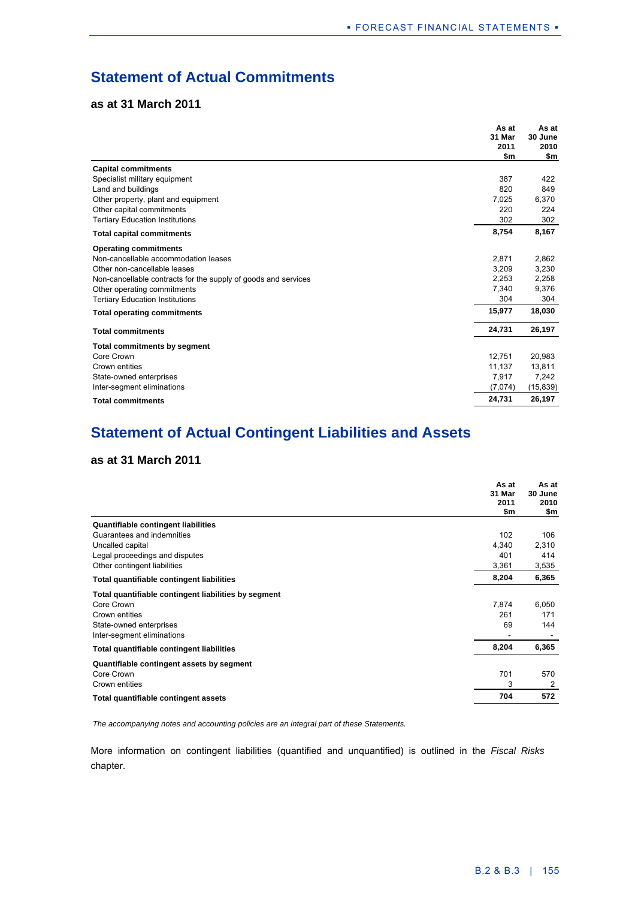## **Statement of Actual Commitments**

### **as at 31 March 2011**

|                                                                | As at<br>31 Mar<br>2011<br>\$m | As at<br>30 June<br>2010<br>\$m |
|----------------------------------------------------------------|--------------------------------|---------------------------------|
| <b>Capital commitments</b>                                     |                                |                                 |
| Specialist military equipment                                  | 387                            | 422                             |
| Land and buildings                                             | 820                            | 849                             |
| Other property, plant and equipment                            | 7,025                          | 6,370                           |
| Other capital commitments                                      | 220                            | 224                             |
| <b>Tertiary Education Institutions</b>                         | 302                            | 302                             |
| <b>Total capital commitments</b>                               | 8,754                          | 8,167                           |
| <b>Operating commitments</b>                                   |                                |                                 |
| Non-cancellable accommodation leases                           | 2,871                          | 2,862                           |
| Other non-cancellable leases                                   | 3,209                          | 3,230                           |
| Non-cancellable contracts for the supply of goods and services | 2,253                          | 2,258                           |
| Other operating commitments                                    | 7,340                          | 9,376                           |
| <b>Tertiary Education Institutions</b>                         | 304                            | 304                             |
| <b>Total operating commitments</b>                             | 15,977                         | 18,030                          |
| <b>Total commitments</b>                                       | 24,731                         | 26,197                          |
| <b>Total commitments by segment</b>                            |                                |                                 |
| Core Crown                                                     | 12,751                         | 20,983                          |
| Crown entities                                                 | 11,137                         | 13,811                          |
| State-owned enterprises                                        | 7,917                          | 7,242                           |
| Inter-segment eliminations                                     | (7,074)                        | (15, 839)                       |
| <b>Total commitments</b>                                       | 24,731                         | 26,197                          |

## **Statement of Actual Contingent Liabilities and Assets**

### **as at 31 March 2011**

|                                                      | As at<br>31 Mar<br>2011<br>\$m | As at<br>30 June<br>2010<br>\$m |
|------------------------------------------------------|--------------------------------|---------------------------------|
| <b>Quantifiable contingent liabilities</b>           |                                |                                 |
| Guarantees and indemnities                           | 102                            | 106                             |
| Uncalled capital                                     | 4,340                          | 2,310                           |
| Legal proceedings and disputes                       | 401                            | 414                             |
| Other contingent liabilities                         | 3,361                          | 3,535                           |
| Total quantifiable contingent liabilities            | 8,204                          | 6,365                           |
| Total quantifiable contingent liabilities by segment |                                |                                 |
| Core Crown                                           | 7,874                          | 6,050                           |
| Crown entities                                       | 261                            | 171                             |
| State-owned enterprises                              | 69                             | 144                             |
| Inter-segment eliminations                           |                                |                                 |
| Total quantifiable contingent liabilities            | 8,204                          | 6,365                           |
| Quantifiable contingent assets by segment            |                                |                                 |
| Core Crown                                           | 701                            | 570                             |
| Crown entities                                       | 3                              | 2                               |
| Total quantifiable contingent assets                 | 704                            | 572                             |

*The accompanying notes and accounting policies are an integral part of these Statements.*

More information on contingent liabilities (quantified and unquantified) is outlined in the *Fiscal Risks* chapter.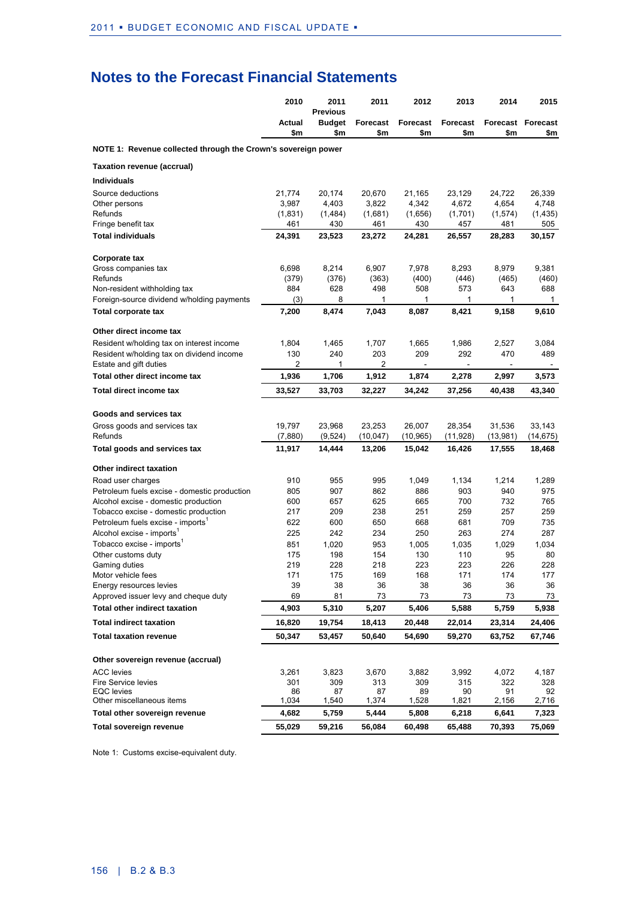|                                                               | 2010          | 2011<br><b>Previous</b> | 2011                   | 2012                   | 2013                              | 2014            | 2015                            |
|---------------------------------------------------------------|---------------|-------------------------|------------------------|------------------------|-----------------------------------|-----------------|---------------------------------|
|                                                               | Actual<br>\$m | <b>Budget</b><br>\$m    | <b>Forecast</b><br>\$m | <b>Forecast</b><br>\$m | <b>Forecast</b><br>\$m            | \$m             | <b>Forecast Forecast</b><br>\$m |
| NOTE 1: Revenue collected through the Crown's sovereign power |               |                         |                        |                        |                                   |                 |                                 |
| Taxation revenue (accrual)                                    |               |                         |                        |                        |                                   |                 |                                 |
| <b>Individuals</b>                                            |               |                         |                        |                        |                                   |                 |                                 |
| Source deductions                                             | 21,774        | 20,174                  | 20,670                 | 21,165                 | 23,129                            | 24,722          | 26,339                          |
| Other persons                                                 | 3,987         | 4,403                   | 3,822                  | 4,342                  | 4,672                             | 4,654           | 4,748                           |
| Refunds                                                       | (1,831)       | (1,484)                 | (1,681)                | (1,656)                | (1,701)                           | (1,574)         | (1, 435)                        |
| Fringe benefit tax                                            | 461           | 430                     | 461                    | 430                    | 457                               | 481             | 505                             |
| <b>Total individuals</b>                                      | 24,391        | 23,523                  | 23,272                 | 24,281                 | 26,557                            | 28,283          | 30,157                          |
| Corporate tax                                                 |               |                         |                        |                        |                                   |                 |                                 |
| Gross companies tax                                           | 6,698         | 8,214                   | 6,907                  | 7,978                  | 8,293                             | 8,979           | 9,381                           |
| Refunds                                                       | (379)         | (376)                   | (363)                  | (400)                  | (446)                             | (465)           | (460)                           |
| Non-resident withholding tax                                  | 884           | 628                     | 498                    | 508                    | 573                               | 643             | 688                             |
| Foreign-source dividend w/holding payments                    | (3)           | 8                       | 1                      | 1                      | 1                                 | 1               | $\mathbf{1}$                    |
| Total corporate tax                                           | 7,200         | 8,474                   | 7,043                  | 8,087                  | 8,421                             | 9,158           | 9,610                           |
| Other direct income tax                                       |               |                         |                        |                        |                                   |                 |                                 |
| Resident w/holding tax on interest income                     | 1,804         | 1,465                   | 1,707                  | 1,665                  | 1,986                             | 2,527           | 3,084                           |
| Resident w/holding tax on dividend income                     | 130           | 240                     | 203                    | 209                    | 292                               | 470             | 489                             |
| Estate and gift duties<br>Total other direct income tax       | 2<br>1,936    | 1<br>1,706              | 2<br>1,912             | $\sim$<br>1,874        | $\overline{\phantom{a}}$<br>2,278 | $\sim$<br>2,997 | $\sim$<br>3,573                 |
| Total direct income tax                                       | 33,527        | 33,703                  | 32,227                 | 34,242                 | 37,256                            | 40,438          | 43,340                          |
|                                                               |               |                         |                        |                        |                                   |                 |                                 |
| Goods and services tax                                        |               |                         |                        |                        |                                   |                 |                                 |
| Gross goods and services tax                                  | 19,797        | 23,968                  | 23,253                 | 26,007                 | 28,354                            | 31,536          | 33,143                          |
| Refunds                                                       | (7,880)       | (9,524)                 | (10,047)               | (10, 965)              | (11,928)                          | (13,981)        | (14, 675)                       |
| <b>Total goods and services tax</b>                           | 11,917        | 14,444                  | 13,206                 | 15,042                 | 16,426                            | 17,555          | 18,468                          |
| Other indirect taxation                                       |               |                         |                        |                        |                                   |                 |                                 |
| Road user charges                                             | 910           | 955                     | 995                    | 1,049                  | 1,134                             | 1,214           | 1,289                           |
| Petroleum fuels excise - domestic production                  | 805           | 907                     | 862                    | 886                    | 903                               | 940             | 975                             |
| Alcohol excise - domestic production                          | 600           | 657                     | 625                    | 665                    | 700                               | 732             | 765                             |
| Tobacco excise - domestic production                          | 217           | 209                     | 238                    | 251                    | 259                               | 257             | 259                             |
| Petroleum fuels excise - imports <sup>1</sup>                 | 622           | 600                     | 650                    | 668                    | 681                               | 709             | 735                             |
| Alcohol excise - imports <sup>1</sup>                         | 225           | 242                     | 234                    | 250                    | 263                               | 274             | 287                             |
| Tobacco excise - imports <sup>1</sup>                         | 851           | 1,020                   | 953                    | 1,005                  | 1,035                             | 1,029           | 1,034                           |
| Other customs duty                                            | 175           | 198                     | 154                    | 130                    | 110                               | 95              | 80                              |
| Gaming duties                                                 | 219<br>171    | 228                     | 218                    | 223                    | 223                               | 226             | 228                             |
| Motor vehicle fees<br>Energy resources levies                 | 39            | 175<br>38               | 169<br>36              | 168<br>38              | 171<br>36                         | 174<br>36       | 177<br>36                       |
| Approved issuer levy and cheque duty                          | 69            | 81                      | 73                     | 73                     | 73                                | 73              | 73                              |
| <b>Total other indirect taxation</b>                          | 4,903         | 5,310                   | 5,207                  | 5,406                  | 5,588                             | 5,759           | 5,938                           |
| <b>Total indirect taxation</b>                                | 16,820        | 19,754                  | 18,413                 | 20,448                 | 22,014                            | 23,314          | 24,406                          |
| <b>Total taxation revenue</b>                                 | 50,347        | 53,457                  | 50,640                 | 54,690                 | 59,270                            | 63,752          | 67,746                          |
|                                                               |               |                         |                        |                        |                                   |                 |                                 |
| Other sovereign revenue (accrual)                             |               |                         |                        |                        |                                   |                 |                                 |
| <b>ACC</b> levies                                             | 3,261         | 3,823                   | 3,670                  | 3,882                  | 3,992                             | 4,072           | 4,187                           |
| Fire Service levies                                           | 301           | 309                     | 313                    | 309                    | 315                               | 322             | 328                             |
| <b>EQC</b> levies<br>Other miscellaneous items                | 86<br>1,034   | 87<br>1,540             | 87<br>1,374            | 89<br>1,528            | 90<br>1,821                       | 91<br>2,156     | 92<br>2,716                     |
| Total other sovereign revenue                                 | 4,682         | 5,759                   | 5,444                  | 5,808                  | 6,218                             | 6,641           | 7,323                           |
| <b>Total sovereign revenue</b>                                | 55,029        | 59,216                  | 56,084                 | 60,498                 | 65,488                            | 70,393          | 75,069                          |

Note 1: Customs excise-equivalent duty.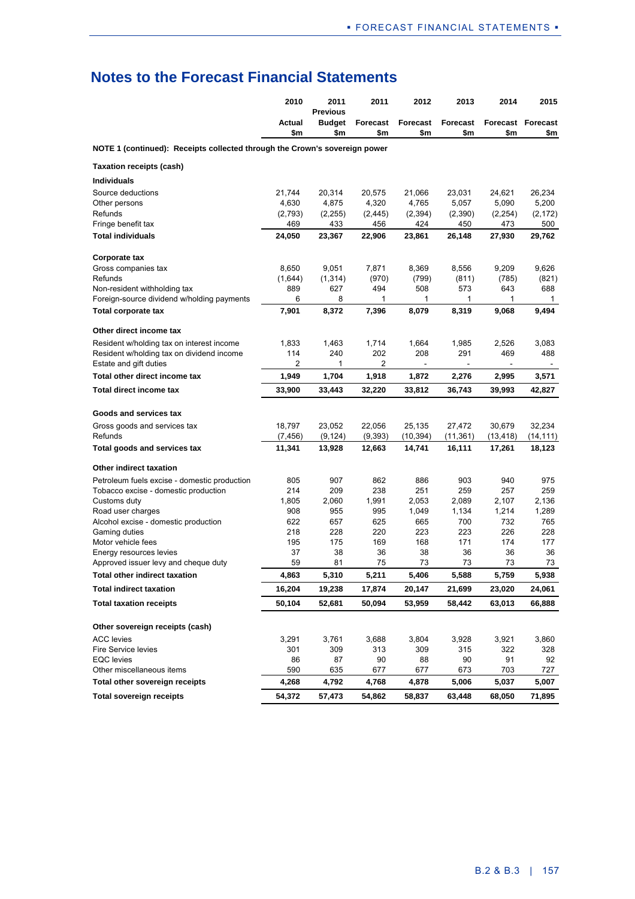|                                                                            | 2010          | 2011<br><b>Previous</b> | 2011                   | 2012                   | 2013                   | 2014         | 2015                            |
|----------------------------------------------------------------------------|---------------|-------------------------|------------------------|------------------------|------------------------|--------------|---------------------------------|
|                                                                            | Actual<br>\$m | <b>Budget</b><br>\$m    | <b>Forecast</b><br>\$m | <b>Forecast</b><br>\$m | <b>Forecast</b><br>\$m | \$m          | <b>Forecast Forecast</b><br>\$m |
| NOTE 1 (continued): Receipts collected through the Crown's sovereign power |               |                         |                        |                        |                        |              |                                 |
| <b>Taxation receipts (cash)</b>                                            |               |                         |                        |                        |                        |              |                                 |
| <b>Individuals</b>                                                         |               |                         |                        |                        |                        |              |                                 |
| Source deductions                                                          | 21,744        | 20,314                  | 20,575                 | 21,066                 | 23,031                 | 24,621       | 26,234                          |
| Other persons                                                              | 4,630         | 4,875                   | 4,320                  | 4,765                  | 5,057                  | 5,090        | 5,200                           |
| Refunds                                                                    | (2,793)       | (2,255)                 | (2, 445)               | (2, 394)               | (2,390)                | (2, 254)     | (2, 172)                        |
| Fringe benefit tax                                                         | 469           | 433                     | 456                    | 424                    | 450                    | 473          | 500                             |
| <b>Total individuals</b>                                                   | 24,050        | 23,367                  | 22,906                 | 23,861                 | 26,148                 | 27,930       | 29,762                          |
| Corporate tax                                                              |               |                         |                        |                        |                        |              |                                 |
| Gross companies tax                                                        | 8,650         | 9,051                   | 7,871                  | 8,369                  | 8,556                  | 9,209        | 9,626                           |
| Refunds                                                                    | (1,644)       | (1, 314)                | (970)                  | (799)                  | (811)                  | (785)        | (821)                           |
| Non-resident withholding tax                                               | 889           | 627                     | 494                    | 508                    | 573                    | 643          | 688                             |
| Foreign-source dividend w/holding payments<br>Total corporate tax          | 6<br>7,901    | 8<br>8,372              | 1<br>7,396             | 1<br>8,079             | 1<br>8,319             | 1<br>9,068   | 1<br>9,494                      |
|                                                                            |               |                         |                        |                        |                        |              |                                 |
| Other direct income tax                                                    |               |                         |                        |                        |                        |              |                                 |
| Resident w/holding tax on interest income                                  | 1,833         | 1,463                   | 1,714                  | 1,664                  | 1,985                  | 2,526        | 3,083                           |
| Resident w/holding tax on dividend income                                  | 114<br>2      | 240<br>1                | 202<br>$\overline{2}$  | 208                    | 291                    | 469          | 488                             |
| Estate and gift duties<br>Total other direct income tax                    | 1.949         | 1,704                   | 1,918                  | 1,872                  | 2,276                  | 2,995        | 3,571                           |
| Total direct income tax                                                    | 33,900        | 33,443                  | 32,220                 | 33,812                 | 36,743                 | 39,993       | 42,827                          |
|                                                                            |               |                         |                        |                        |                        |              |                                 |
| Goods and services tax                                                     |               |                         |                        |                        |                        |              |                                 |
| Gross goods and services tax                                               | 18,797        | 23,052                  | 22,056                 | 25,135                 | 27,472                 | 30,679       | 32,234                          |
| Refunds                                                                    | (7, 456)      | (9, 124)                | (9, 393)               | (10, 394)              | (11,361)               | (13, 418)    | (14, 111)                       |
| Total goods and services tax                                               | 11,341        | 13,928                  | 12,663                 | 14,741                 | 16,111                 | 17,261       | 18,123                          |
| Other indirect taxation                                                    |               |                         |                        |                        |                        |              |                                 |
| Petroleum fuels excise - domestic production                               | 805           | 907                     | 862                    | 886                    | 903                    | 940          | 975                             |
| Tobacco excise - domestic production                                       | 214           | 209                     | 238                    | 251                    | 259                    | 257          | 259                             |
| Customs duty                                                               | 1,805         | 2,060                   | 1,991                  | 2,053                  | 2,089                  | 2,107        | 2,136                           |
| Road user charges<br>Alcohol excise - domestic production                  | 908<br>622    | 955<br>657              | 995<br>625             | 1,049<br>665           | 1,134<br>700           | 1,214<br>732 | 1,289<br>765                    |
| Gaming duties                                                              | 218           | 228                     | 220                    | 223                    | 223                    | 226          | 228                             |
| Motor vehicle fees                                                         | 195           | 175                     | 169                    | 168                    | 171                    | 174          | 177                             |
| Energy resources levies                                                    | 37            | 38                      | 36                     | 38                     | 36                     | 36           | 36                              |
| Approved issuer levy and cheque duty                                       | 59            | 81                      | 75                     | 73                     | 73                     | 73           | 73                              |
| <b>Total other indirect taxation</b>                                       | 4,863         | 5,310                   | 5,211                  | 5,406                  | 5,588                  | 5,759        | 5,938                           |
| <b>Total indirect taxation</b>                                             | 16,204        | 19,238                  | 17,874                 | 20,147                 | 21,699                 | 23,020       | 24,061                          |
| <b>Total taxation receipts</b>                                             | 50,104        | 52,681                  | 50,094                 | 53,959                 | 58,442                 | 63,013       | 66,888                          |
| Other sovereign receipts (cash)                                            |               |                         |                        |                        |                        |              |                                 |
| <b>ACC</b> levies                                                          | 3,291         | 3,761                   | 3,688                  | 3,804                  | 3,928                  | 3,921        | 3,860                           |
| Fire Service levies                                                        | 301           | 309                     | 313                    | 309                    | 315                    | 322          | 328                             |
| <b>EQC</b> levies                                                          | 86            | 87                      | 90                     | 88                     | 90                     | 91           | 92                              |
| Other miscellaneous items                                                  | 590           | 635                     | 677                    | 677                    | 673                    | 703          | 727                             |
| Total other sovereign receipts                                             | 4,268         | 4,792                   | 4,768                  | 4,878                  | 5,006                  | 5,037        | 5,007                           |
| <b>Total sovereign receipts</b>                                            | 54,372        | 57,473                  | 54,862                 | 58,837                 | 63,448                 | 68,050       | 71,895                          |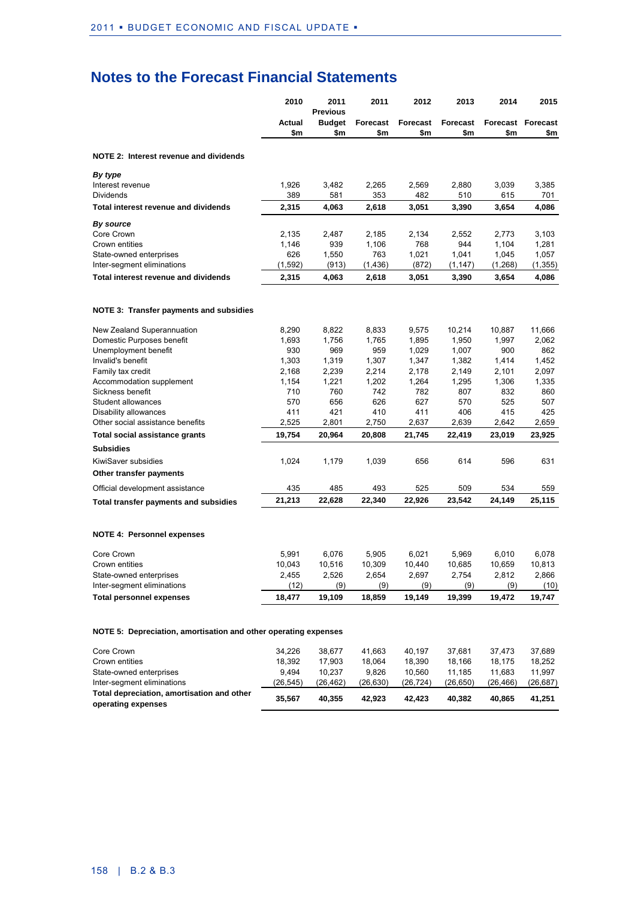|                                                                 | 2010             | 2011<br><b>Previous</b> | 2011             | 2012             | 2013             | 2014             | 2015                     |
|-----------------------------------------------------------------|------------------|-------------------------|------------------|------------------|------------------|------------------|--------------------------|
|                                                                 | Actual           | <b>Budget</b>           | <b>Forecast</b>  | Forecast         | Forecast         |                  | <b>Forecast Forecast</b> |
|                                                                 | \$m              | \$m                     | \$m              | \$m              | \$m              | \$m              | \$m                      |
| NOTE 2: Interest revenue and dividends                          |                  |                         |                  |                  |                  |                  |                          |
| By type                                                         |                  |                         |                  |                  |                  |                  |                          |
| Interest revenue                                                | 1,926            | 3,482                   | 2,265            | 2,569            | 2,880            | 3,039            | 3,385                    |
| <b>Dividends</b>                                                | 389              | 581                     | 353              | 482              | 510              | 615              | 701                      |
| Total interest revenue and dividends                            | 2,315            | 4,063                   | 2,618            | 3,051            | 3,390            | 3,654            | 4,086                    |
| By source                                                       |                  |                         |                  |                  |                  |                  |                          |
| Core Crown                                                      | 2,135            | 2,487                   | 2,185            | 2,134            | 2,552            | 2,773            | 3,103                    |
| Crown entities<br>State-owned enterprises                       | 1,146<br>626     | 939<br>1,550            | 1,106<br>763     | 768<br>1,021     | 944<br>1,041     | 1,104<br>1,045   | 1,281<br>1,057           |
| Inter-segment eliminations                                      | (1, 592)         | (913)                   | (1, 436)         | (872)            | (1, 147)         | (1, 268)         | (1, 355)                 |
| Total interest revenue and dividends                            | 2,315            | 4,063                   | 2,618            | 3,051            | 3,390            | 3,654            | 4,086                    |
|                                                                 |                  |                         |                  |                  |                  |                  |                          |
| NOTE 3: Transfer payments and subsidies                         |                  |                         |                  |                  |                  |                  |                          |
| New Zealand Superannuation                                      | 8,290            | 8,822                   | 8,833            | 9,575            | 10,214           | 10,887           | 11,666                   |
| Domestic Purposes benefit                                       | 1,693            | 1,756                   | 1,765            | 1,895            | 1,950            | 1,997            | 2,062                    |
| Unemployment benefit                                            | 930              | 969                     | 959              | 1,029            | 1,007            | 900              | 862                      |
| Invalid's benefit                                               | 1,303            | 1,319                   | 1,307            | 1,347            | 1,382            | 1,414            | 1,452                    |
| Family tax credit                                               | 2,168            | 2,239                   | 2,214            | 2,178            | 2,149            | 2,101            | 2,097                    |
| Accommodation supplement<br>Sickness benefit                    | 1,154<br>710     | 1,221<br>760            | 1,202<br>742     | 1,264<br>782     | 1,295<br>807     | 1,306<br>832     | 1,335<br>860             |
| Student allowances                                              | 570              | 656                     | 626              | 627              | 570              | 525              | 507                      |
| Disability allowances                                           | 411              | 421                     | 410              | 411              | 406              | 415              | 425                      |
| Other social assistance benefits                                | 2,525            | 2,801                   | 2,750            | 2,637            | 2,639            | 2,642            | 2,659                    |
| Total social assistance grants                                  | 19,754           | 20,964                  | 20,808           | 21,745           | 22,419           | 23,019           | 23,925                   |
| <b>Subsidies</b>                                                |                  |                         |                  |                  |                  |                  |                          |
| KiwiSaver subsidies                                             | 1,024            | 1,179                   | 1,039            | 656              | 614              | 596              | 631                      |
| Other transfer payments                                         |                  |                         |                  |                  |                  |                  |                          |
| Official development assistance                                 | 435              | 485                     | 493              | 525              | 509              | 534              | 559                      |
| Total transfer payments and subsidies                           | 21,213           | 22,628                  | 22,340           | 22,926           | 23,542           | 24,149           | 25,115                   |
|                                                                 |                  |                         |                  |                  |                  |                  |                          |
| <b>NOTE 4: Personnel expenses</b>                               |                  |                         |                  |                  |                  |                  |                          |
| Core Crown                                                      | 5.991            | 6.076                   | 5,905            | 6,021            | 5,969            | 6,010            | 6.078                    |
| Crown entities                                                  | 10,043           | 10,516                  | 10,309           | 10,440           | 10,685           | 10,659           | 10,813                   |
| State-owned enterprises                                         | 2,455            | 2,526                   | 2,654            | 2,697            | 2,754            | 2,812            | 2,866                    |
| Inter-segment eliminations                                      | (12)             | (9)                     | (9)              | (9)              | (9)              | (9)              | (10)                     |
| <b>Total personnel expenses</b>                                 | 18,477           | 19,109                  | 18,859           | 19,149           | 19,399           | 19,472           | 19,747                   |
| NOTE 5: Depreciation, amortisation and other operating expenses |                  |                         |                  |                  |                  |                  |                          |
|                                                                 |                  |                         |                  |                  |                  |                  |                          |
| Core Crown<br>Crown entities                                    | 34,226<br>18,392 | 38,677<br>17,903        | 41,663<br>18,064 | 40,197<br>18,390 | 37,681<br>18,166 | 37,473<br>18,175 | 37,689<br>18,252         |
|                                                                 |                  |                         |                  |                  |                  |                  |                          |

| Total depreciation, amortisation and other<br>operating expenses | 35.567   | 40.355   | 42.923   | 42.423   | 40.382   | 40.865   | 41.251   |
|------------------------------------------------------------------|----------|----------|----------|----------|----------|----------|----------|
| Inter-segment eliminations                                       | (26.545) | (26.462) | (26.630) | (26.724) | (26.650) | (26.466) | (26.687) |
| State-owned enterprises                                          | 9.494    | 10.237   | 9.826    | 10.560   | 11.185   | 11.683   | 11.997   |
| Crown entities                                                   | 18.392   | 17.903   | 18.064   | 18.390   | 18.166   | 18.175   | 18.252   |
| Core Crown                                                       | 34.226   | 38.677   | 41.663   | 40.197   | 37.681   | 31.473   | 37.689   |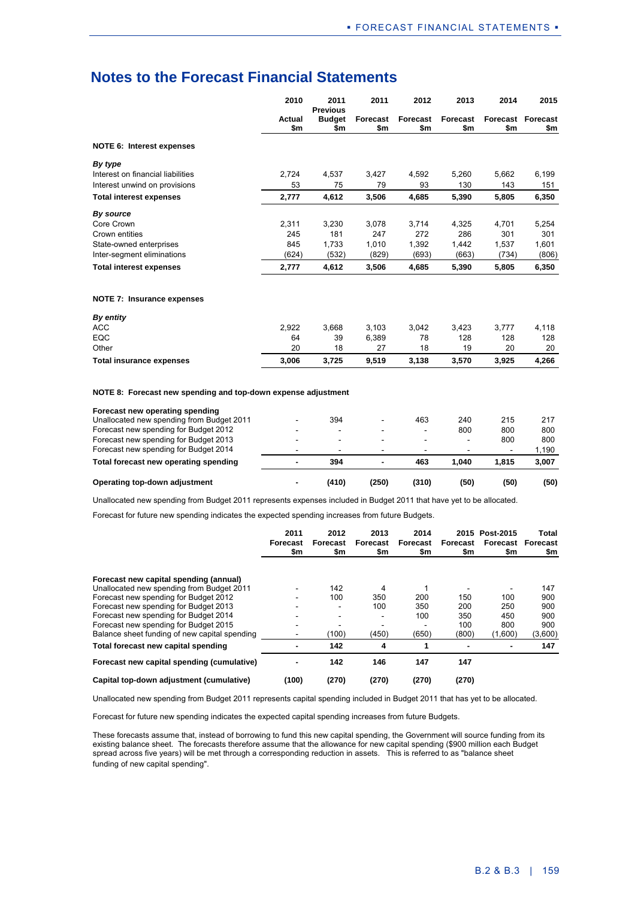|                                   | 2010          | 2011<br><b>Previous</b> | 2011            | 2012            | 2013            | 2014  | 2015                            |
|-----------------------------------|---------------|-------------------------|-----------------|-----------------|-----------------|-------|---------------------------------|
|                                   | Actual<br>\$m | <b>Budget</b><br>\$m    | Forecast<br>\$m | Forecast<br>\$m | Forecast<br>\$m | \$m   | <b>Forecast Forecast</b><br>\$m |
| <b>NOTE 6: Interest expenses</b>  |               |                         |                 |                 |                 |       |                                 |
| By type                           |               |                         |                 |                 |                 |       |                                 |
| Interest on financial liabilities | 2,724         | 4,537                   | 3,427           | 4,592           | 5,260           | 5,662 | 6,199                           |
| Interest unwind on provisions     | 53            | 75                      | 79              | 93              | 130             | 143   | 151                             |
| <b>Total interest expenses</b>    | 2,777         | 4,612                   | 3,506           | 4,685           | 5,390           | 5,805 | 6,350                           |
| By source                         |               |                         |                 |                 |                 |       |                                 |
| Core Crown                        | 2,311         | 3,230                   | 3,078           | 3,714           | 4,325           | 4,701 | 5,254                           |
| Crown entities                    | 245           | 181                     | 247             | 272             | 286             | 301   | 301                             |
| State-owned enterprises           | 845           | 1,733                   | 1,010           | 1,392           | 1,442           | 1,537 | 1,601                           |
| Inter-segment eliminations        | (624)         | (532)                   | (829)           | (693)           | (663)           | (734) | (806)                           |
| <b>Total interest expenses</b>    | 2,777         | 4,612                   | 3,506           | 4,685           | 5,390           | 5,805 | 6,350                           |
| NOTE 7: Insurance expenses        |               |                         |                 |                 |                 |       |                                 |
| By entity                         |               |                         |                 |                 |                 |       |                                 |
| <b>ACC</b>                        | 2,922         | 3,668                   | 3,103           | 3,042           | 3,423           | 3,777 | 4,118                           |

| <b>Total insurance expenses</b> | 3.006  | 3.725 | 9,519         | 3.138 | 3,570 | 3.925        | 4.266       |
|---------------------------------|--------|-------|---------------|-------|-------|--------------|-------------|
| Other                           | 20     | 18    | 27            |       | 19    | 20           | 20          |
| EQC                             | 64     | 39    | 6.389         | 78    | 128   | 128          | 128         |
| AUU                             | L, JLL | v.vvv | <u>J. IUJ</u> | J.VTA | ◡-⊤∠◡ | <b>J.III</b> | <b>T.IU</b> |

**NOTE 8: Forecast new spending and top-down expense adjustment**

| Operating top-down adjustment             | $\blacksquare$           | (410)                    | (250)                    | (310)                    | (50)  | (50)                     | (50)  |
|-------------------------------------------|--------------------------|--------------------------|--------------------------|--------------------------|-------|--------------------------|-------|
| Total forecast new operating spending     | $\overline{\phantom{a}}$ | 394                      |                          | 463                      | 1.040 | 1.815                    | 3.007 |
| Forecast new spending for Budget 2014     | $\overline{\phantom{0}}$ |                          | $\overline{\phantom{0}}$ | $\overline{\phantom{0}}$ |       | $\overline{\phantom{a}}$ | 1,190 |
| Forecast new spending for Budget 2013     |                          | $\overline{\phantom{a}}$ | $\overline{\phantom{a}}$ |                          | ۰     | 800                      | 800   |
| Forecast new spending for Budget 2012     |                          | -                        | $\overline{\phantom{a}}$ | $\overline{\phantom{a}}$ | 800   | 800                      | 800   |
| Unallocated new spending from Budget 2011 |                          | 394                      | $\overline{\phantom{0}}$ | 463                      | 240   | 215                      | 217   |
| Forecast new operating spending           |                          |                          |                          |                          |       |                          |       |

Unallocated new spending from Budget 2011 represents expenses included in Budget 2011 that have yet to be allocated.

Forecast for future new spending indicates the expected spending increases from future Budgets.

|                                               | 2011<br>Forecast<br>\$m | 2012<br>Forecast<br>\$m | 2013<br>Forecast<br>\$m  | 2014<br>Forecast<br>\$m | Forecast<br>\$m | 2015 Post-2015<br>Forecast<br>\$m | Total<br>Forecast<br>\$m |
|-----------------------------------------------|-------------------------|-------------------------|--------------------------|-------------------------|-----------------|-----------------------------------|--------------------------|
| Forecast new capital spending (annual)        |                         |                         |                          |                         |                 |                                   |                          |
| Unallocated new spending from Budget 2011     |                         | 142                     | 4                        |                         |                 |                                   | 147                      |
| Forecast new spending for Budget 2012         |                         | 100                     | 350                      | 200                     | 150             | 100                               | 900                      |
| Forecast new spending for Budget 2013         |                         |                         | 100                      | 350                     | 200             | 250                               | 900                      |
| Forecast new spending for Budget 2014         |                         | -                       | $\overline{\phantom{a}}$ | 100                     | 350             | 450                               | 900                      |
| Forecast new spending for Budget 2015         |                         | -                       | $\overline{ }$           |                         | 100             | 800                               | 900                      |
| Balance sheet funding of new capital spending |                         | (100)                   | (450)                    | (650)                   | (800)           | (1,600)                           | (3,600)                  |
| Total forecast new capital spending           |                         | 142                     | 4                        |                         |                 |                                   | 147                      |
| Forecast new capital spending (cumulative)    |                         | 142                     | 146                      | 147                     | 147             |                                   |                          |
| Capital top-down adjustment (cumulative)      | (100)                   | (270)                   | (270)                    | (270)                   | (270)           |                                   |                          |

Unallocated new spending from Budget 2011 represents capital spending included in Budget 2011 that has yet to be allocated.

Forecast for future new spending indicates the expected capital spending increases from future Budgets.

These forecasts assume that, instead of borrowing to fund this new capital spending, the Government will source funding from its existing balance sheet. The forecasts therefore assume that the allowance for new capital spending (\$900 million each Budget spread across five years) will be met through a corresponding reduction in assets. This is referred to as "balance sheet funding of new capital spending".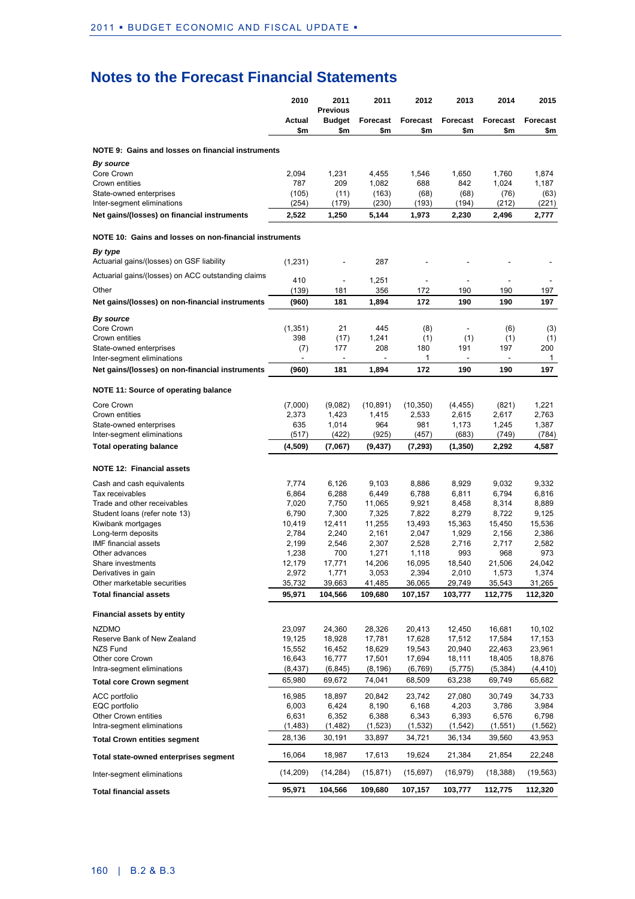|                                                              | 2010            | 2011<br><b>Previous</b> | 2011                   | 2012                   | 2013            | 2014            | 2015            |
|--------------------------------------------------------------|-----------------|-------------------------|------------------------|------------------------|-----------------|-----------------|-----------------|
|                                                              | Actual<br>\$m   | <b>Budget</b><br>\$m    | <b>Forecast</b><br>\$m | <b>Forecast</b><br>\$m | Forecast<br>\$m | Forecast<br>\$m | Forecast<br>\$m |
| NOTE 9: Gains and losses on financial instruments            |                 |                         |                        |                        |                 |                 |                 |
| By source                                                    |                 |                         |                        |                        |                 |                 |                 |
| Core Crown                                                   | 2,094           | 1,231                   | 4,455                  | 1,546                  | 1,650           | 1,760           | 1,874           |
| Crown entities<br>State-owned enterprises                    | 787<br>(105)    | 209<br>(11)             | 1,082<br>(163)         | 688<br>(68)            | 842<br>(68)     | 1,024<br>(76)   | 1,187<br>(63)   |
| Inter-segment eliminations                                   | (254)           | (179)                   | (230)                  | (193)                  | (194)           | (212)           | (221)           |
| Net gains/(losses) on financial instruments                  | 2,522           | 1,250                   | 5,144                  | 1,973                  | 2,230           | 2,496           | 2,777           |
| NOTE 10: Gains and losses on non-financial instruments       |                 |                         |                        |                        |                 |                 |                 |
| By type<br>Actuarial gains/(losses) on GSF liability         | (1,231)         |                         | 287                    |                        |                 |                 |                 |
| Actuarial gains/(losses) on ACC outstanding claims           |                 |                         |                        |                        |                 |                 |                 |
| Other                                                        | 410<br>(139)    | ÷<br>181                | 1,251<br>356           | $\sim$<br>172          | ä,<br>190       | 190             | 197             |
| Net gains/(losses) on non-financial instruments              | (960)           | 181                     | 1,894                  | 172                    | 190             | 190             | 197             |
|                                                              |                 |                         |                        |                        |                 |                 |                 |
| By source                                                    |                 |                         |                        |                        |                 |                 |                 |
| Core Crown<br>Crown entities                                 | (1, 351)<br>398 | 21<br>(17)              | 445<br>1,241           | (8)<br>(1)             | ÷,<br>(1)       | (6)<br>(1)      | (3)<br>(1)      |
| State-owned enterprises                                      | (7)             | 177                     | 208                    | 180                    | 191             | 197             | 200             |
| Inter-segment eliminations                                   |                 |                         |                        | 1                      |                 |                 | $\mathbf{1}$    |
| Net gains/(losses) on non-financial instruments              | (960)           | 181                     | 1,894                  | 172                    | 190             | 190             | 197             |
| NOTE 11: Source of operating balance                         |                 |                         |                        |                        |                 |                 |                 |
| Core Crown                                                   | (7,000)         | (9,082)                 | (10, 891)              | (10, 350)              | (4, 455)        | (821)           | 1,221           |
| Crown entities                                               | 2,373           | 1,423                   | 1,415                  | 2,533                  | 2,615           | 2,617           | 2,763           |
| State-owned enterprises<br>Inter-segment eliminations        | 635<br>(517)    | 1,014<br>(422)          | 964<br>(925)           | 981<br>(457)           | 1,173<br>(683)  | 1,245<br>(749)  | 1,387<br>(784)  |
| <b>Total operating balance</b>                               | (4,509)         | (7,067)                 | (9, 437)               | (7, 293)               | (1,350)         | 2,292           | 4,587           |
|                                                              |                 |                         |                        |                        |                 |                 |                 |
| <b>NOTE 12: Financial assets</b>                             |                 |                         |                        |                        |                 |                 |                 |
| Cash and cash equivalents                                    | 7,774           | 6,126                   | 9,103                  | 8,886                  | 8,929           | 9,032           | 9,332           |
| Tax receivables<br>Trade and other receivables               | 6,864<br>7,020  | 6,288<br>7,750          | 6,449                  | 6,788<br>9,921         | 6,811<br>8,458  | 6,794           | 6,816           |
| Student loans (refer note 13)                                | 6,790           | 7,300                   | 11,065<br>7,325        | 7,822                  | 8,279           | 8,314<br>8,722  | 8,889<br>9,125  |
| Kiwibank mortgages                                           | 10,419          | 12,411                  | 11,255                 | 13,493                 | 15,363          | 15,450          | 15,536          |
| Long-term deposits                                           | 2,784           | 2,240                   | 2,161                  | 2,047                  | 1,929           | 2,156           | 2,386           |
| <b>IMF</b> financial assets                                  | 2,199           | 2,546                   | 2,307                  | 2,528                  | 2,716           | 2,717           | 2,582           |
| Other advances                                               | 1,238           | 700                     | 1,271                  | 1,118                  | 993             | 968             | 973             |
| Share investments                                            | 12,179          | 17,771                  | 14,206                 | 16,095                 | 18,540          | 21,506          | 24,042          |
| Derivatives in gain                                          | 2,972           | 1,771                   | 3,053                  | 2,394                  | 2,010           | 1,573           | 1,374           |
| Other marketable securities<br><b>Total financial assets</b> | 35,732          | 39,663                  | 41,485                 | 36,065                 | 29,749          | 35,543          | 31,265          |
|                                                              | 95,971          | 104,566                 | 109,680                | 107,157                | 103,777         | 112,775         | 112,320         |
| <b>Financial assets by entity</b>                            |                 |                         |                        |                        |                 |                 |                 |
| <b>NZDMO</b>                                                 | 23,097          | 24,360                  | 28,326                 | 20,413                 | 12,450          | 16,681          | 10,102          |
| Reserve Bank of New Zealand                                  | 19,125          | 18,928                  | 17,781                 | 17,628                 | 17,512          | 17,584          | 17,153          |
| <b>NZS Fund</b>                                              | 15,552          | 16,452                  | 18,629                 | 19,543                 | 20,940          | 22,463          | 23,961          |
| Other core Crown                                             | 16,643          | 16,777                  | 17,501                 | 17,694                 | 18,111          | 18,405          | 18,876          |
| Intra-segment eliminations                                   | (8, 437)        | (6, 845)                | (8, 196)               | (6, 769)               | (5, 775)        | (5, 384)        | (4, 410)        |
| <b>Total core Crown segment</b>                              | 65,980          | 69,672                  | 74,041                 | 68,509                 | 63,238          | 69,749          | 65,682          |
| ACC portfolio                                                | 16,985          | 18,897                  | 20,842                 | 23,742                 | 27,080          | 30,749          | 34,733          |
| EQC portfolio                                                | 6,003           | 6,424                   | 8,190                  | 6,168                  | 4,203           | 3,786           | 3,984           |
| Other Crown entities                                         | 6,631           | 6,352                   | 6,388                  | 6,343                  | 6,393           | 6,576           | 6,798           |
| Intra-segment eliminations                                   | (1, 483)        | (1,482)                 | (1, 523)               | (1, 532)               | (1, 542)        | (1, 551)        | (1, 562)        |
| <b>Total Crown entities segment</b>                          | 28,136          | 30,191                  | 33,897                 | 34,721                 | 36,134          | 39,560          | 43,953          |
| Total state-owned enterprises segment                        | 16,064          | 18,987                  | 17,613                 | 19,624                 | 21,384          | 21,854          | 22,248          |
| Inter-segment eliminations                                   | (14,209)        | (14, 284)               | (15, 871)              | (15,697)               | (16, 979)       | (18, 388)       | (19, 563)       |
| <b>Total financial assets</b>                                | 95,971          | 104,566                 | 109,680                | 107,157                | 103,777         | 112,775         | 112,320         |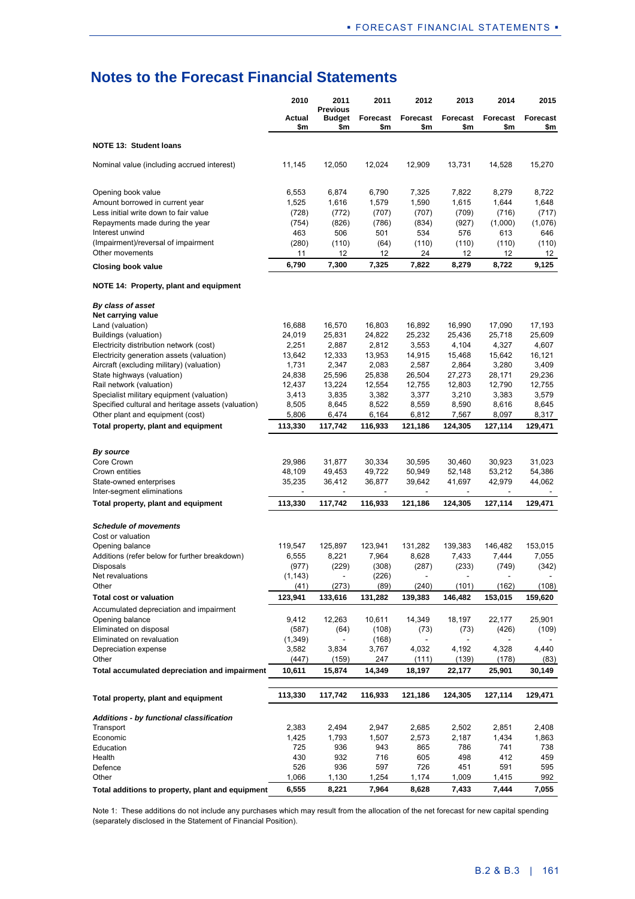|                                                                                                 | 2010              | 2011                                    | 2011             | 2012                               | 2013             | 2014                               | 2015             |
|-------------------------------------------------------------------------------------------------|-------------------|-----------------------------------------|------------------|------------------------------------|------------------|------------------------------------|------------------|
|                                                                                                 | Actual<br>\$m     | <b>Previous</b><br><b>Budget</b><br>\$m | Forecast<br>\$m  | Forecast<br>\$m                    | Forecast<br>\$m  | Forecast<br>\$m                    | Forecast<br>\$m  |
| <b>NOTE 13: Student loans</b>                                                                   |                   |                                         |                  |                                    |                  |                                    |                  |
| Nominal value (including accrued interest)                                                      | 11,145            | 12,050                                  | 12,024           | 12,909                             | 13,731           | 14,528                             | 15,270           |
| Opening book value                                                                              | 6,553             | 6,874                                   | 6,790            | 7,325                              | 7,822            | 8,279                              | 8,722            |
| Amount borrowed in current year                                                                 | 1,525             | 1,616                                   | 1,579            | 1,590                              | 1,615            | 1,644                              | 1,648            |
| Less initial write down to fair value                                                           | (728)             | (772)                                   | (707)            | (707)                              | (709)            | (716)                              | (717)            |
| Repayments made during the year<br>Interest unwind                                              | (754)             | (826)<br>506                            | (786)            | (834)                              | (927)            | (1,000)                            | (1,076)          |
| (Impairment)/reversal of impairment                                                             | 463<br>(280)      | (110)                                   | 501<br>(64)      | 534<br>(110)                       | 576<br>(110)     | 613<br>(110)                       | 646<br>(110)     |
| Other movements                                                                                 | 11                | 12                                      | 12               | 24                                 | 12               | 12                                 | 12               |
| Closing book value                                                                              | 6,790             | 7,300                                   | 7,325            | 7,822                              | 8,279            | 8,722                              | 9,125            |
| NOTE 14: Property, plant and equipment                                                          |                   |                                         |                  |                                    |                  |                                    |                  |
| By class of asset                                                                               |                   |                                         |                  |                                    |                  |                                    |                  |
| Net carrying value                                                                              |                   |                                         |                  |                                    |                  |                                    |                  |
| Land (valuation)<br>Buildings (valuation)                                                       | 16,688<br>24,019  | 16,570<br>25,831                        | 16,803<br>24,822 | 16,892<br>25,232                   | 16,990<br>25,436 | 17,090<br>25,718                   | 17,193<br>25,609 |
| Electricity distribution network (cost)                                                         | 2,251             | 2,887                                   | 2,812            | 3,553                              | 4,104            | 4,327                              | 4,607            |
| Electricity generation assets (valuation)                                                       | 13,642            | 12,333                                  | 13,953           | 14,915                             | 15,468           | 15,642                             | 16,121           |
| Aircraft (excluding military) (valuation)                                                       | 1,731             | 2,347                                   | 2,083            | 2,587                              | 2,864            | 3,280                              | 3,409            |
| State highways (valuation)                                                                      | 24,838            | 25,596                                  | 25,838           | 26,504                             | 27,273           | 28,171                             | 29,236           |
| Rail network (valuation)                                                                        | 12,437            | 13,224                                  | 12,554           | 12,755                             | 12,803           | 12,790                             | 12,755           |
| Specialist military equipment (valuation)<br>Specified cultural and heritage assets (valuation) | 3,413<br>8,505    | 3,835<br>8,645                          | 3,382<br>8,522   | 3,377<br>8,559                     | 3,210<br>8,590   | 3,383<br>8,616                     | 3,579<br>8,645   |
| Other plant and equipment (cost)                                                                | 5,806             | 6,474                                   | 6,164            | 6,812                              | 7,567            | 8,097                              | 8,317            |
| Total property, plant and equipment                                                             | 113,330           | 117,742                                 | 116,933          | 121,186                            | 124,305          | 127,114                            | 129,471          |
|                                                                                                 |                   |                                         |                  |                                    |                  |                                    |                  |
| By source                                                                                       |                   |                                         |                  |                                    |                  |                                    |                  |
| Core Crown                                                                                      | 29,986            | 31,877                                  | 30,334           | 30,595                             | 30,460           | 30,923                             | 31,023           |
| Crown entities                                                                                  | 48,109            | 49,453                                  | 49,722           | 50,949                             | 52,148           | 53,212                             | 54,386           |
| State-owned enterprises<br>Inter-segment eliminations                                           | 35,235            | 36,412<br>$\overline{\phantom{a}}$      | 36,877<br>۰      | 39,642<br>$\overline{\phantom{a}}$ | 41,697<br>٠      | 42,979<br>$\overline{\phantom{a}}$ | 44,062<br>$\sim$ |
| Total property, plant and equipment                                                             | 113,330           | 117,742                                 | 116,933          | 121,186                            | 124,305          | 127,114                            | 129,471          |
|                                                                                                 |                   |                                         |                  |                                    |                  |                                    |                  |
| <b>Schedule of movements</b>                                                                    |                   |                                         |                  |                                    |                  |                                    |                  |
| Cost or valuation                                                                               |                   |                                         |                  |                                    |                  |                                    |                  |
| Opening balance<br>Additions (refer below for further breakdown)                                | 119,547<br>6.555  | 125,897<br>8,221                        | 123,941<br>7,964 | 131,282<br>8,628                   | 139,383<br>7,433 | 146,482<br>7,444                   | 153,015<br>7,055 |
| Disposals                                                                                       | (977)             | (229)                                   | (308)            | (287)                              | (233)            | (749)                              | (342)            |
| Net revaluations                                                                                | (1, 143)          |                                         | (226)            | $\sim$                             |                  |                                    |                  |
| Other                                                                                           | (41)              | (273)                                   | (89)             | (240)                              | (101)            | (162)                              | (108)            |
| <b>Total cost or valuation</b>                                                                  | 123,941           | 133,616                                 | 131,282          | 139,383                            | 146,482          | 153,015                            | 159,620          |
| Accumulated depreciation and impairment                                                         |                   |                                         |                  |                                    |                  |                                    |                  |
| Opening balance                                                                                 | 9,412             | 12,263                                  | 10,611           | 14,349                             | 18,197           | 22,177                             | 25,901           |
| Eliminated on disposal<br>Eliminated on revaluation                                             | (587)             | (64)                                    | (108)            | (73)                               | (73)             | (426)                              | (109)            |
| Depreciation expense                                                                            | (1, 349)<br>3,582 | 3,834                                   | (168)<br>3,767   | 4,032                              | 4,192            | 4,328                              | 4,440            |
| Other                                                                                           | (447)             | (159)                                   | 247              | (111)                              | (139)            | (178)                              | (83)             |
| Total accumulated depreciation and impairment                                                   | 10,611            | 15,874                                  | 14,349           | 18,197                             | 22,177           | 25,901                             | 30,149           |
|                                                                                                 |                   |                                         |                  |                                    |                  |                                    |                  |
| Total property, plant and equipment                                                             | 113,330           | 117,742                                 | 116,933          | 121,186                            | 124,305          | 127,114                            | 129,471          |
| <b>Additions - by functional classification</b>                                                 |                   |                                         |                  |                                    |                  |                                    |                  |
| Transport                                                                                       | 2,383             | 2,494                                   | 2,947            | 2,685                              | 2,502            | 2,851                              | 2,408            |
| Economic                                                                                        | 1,425             | 1,793                                   | 1,507            | 2,573                              | 2,187            | 1,434                              | 1,863            |
| Education<br>Health                                                                             | 725<br>430        | 936<br>932                              | 943<br>716       | 865<br>605                         | 786<br>498       | 741<br>412                         | 738<br>459       |
| Defence                                                                                         | 526               | 936                                     | 597              | 726                                | 451              | 591                                | 595              |
| Other                                                                                           | 1,066             | 1,130                                   | 1,254            | 1,174                              | 1,009            | 1,415                              | 992              |
| Total additions to property, plant and equipment                                                | 6,555             | 8,221                                   | 7,964            | 8,628                              | 7,433            | 7,444                              | 7,055            |

Note 1: These additions do not include any purchases which may result from the allocation of the net forecast for new capital spending (separately disclosed in the Statement of Financial Position).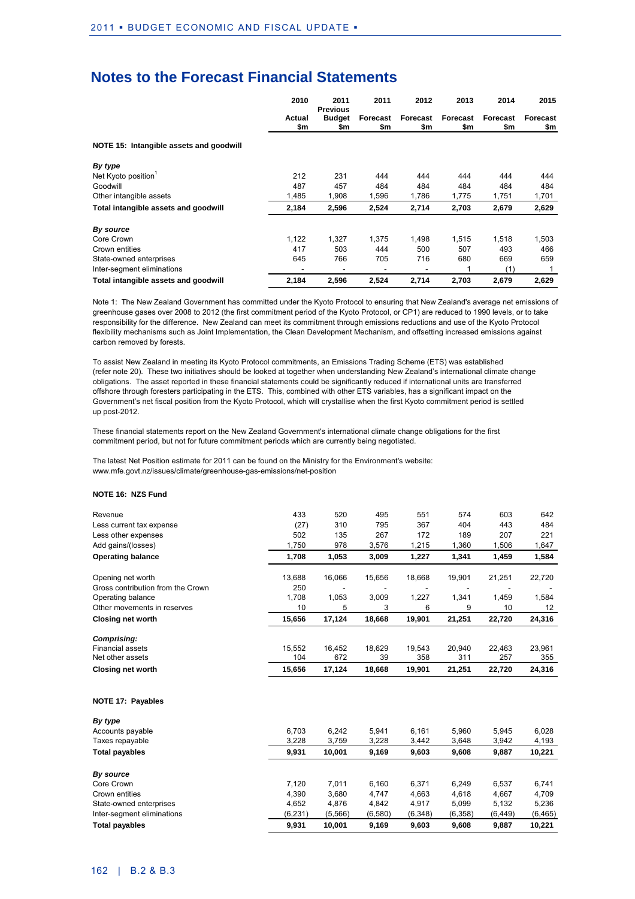|                                         | 2010          | 2011<br><b>Previous</b> | 2011            | 2012            | 2013            | 2014            | 2015            |
|-----------------------------------------|---------------|-------------------------|-----------------|-----------------|-----------------|-----------------|-----------------|
|                                         | Actual<br>\$m | <b>Budget</b><br>\$m    | Forecast<br>\$m | Forecast<br>\$m | Forecast<br>\$m | Forecast<br>\$m | Forecast<br>\$m |
| NOTE 15: Intangible assets and goodwill |               |                         |                 |                 |                 |                 |                 |
| By type                                 |               |                         |                 |                 |                 |                 |                 |
| Net Kyoto position <sup>1</sup>         | 212           | 231                     | 444             | 444             | 444             | 444             | 444             |
| Goodwill                                | 487           | 457                     | 484             | 484             | 484             | 484             | 484             |
| Other intangible assets                 | 1.485         | 1,908                   | 1,596           | 1,786           | 1,775           | 1,751           | 1,701           |
| Total intangible assets and goodwill    | 2,184         | 2,596                   | 2,524           | 2,714           | 2,703           | 2,679           | 2,629           |
| By source                               |               |                         |                 |                 |                 |                 |                 |
| Core Crown                              | 1,122         | 1,327                   | 1,375           | 1.498           | 1,515           | 1,518           | 1,503           |
| Crown entities                          | 417           | 503                     | 444             | 500             | 507             | 493             | 466             |
| State-owned enterprises                 | 645           | 766                     | 705             | 716             | 680             | 669             | 659             |
| Inter-segment eliminations              |               |                         |                 | ٠               |                 | (1)             |                 |
| Total intangible assets and goodwill    | 2,184         | 2,596                   | 2,524           | 2,714           | 2,703           | 2,679           | 2,629           |

Note 1: The New Zealand Government has committed under the Kyoto Protocol to ensuring that New Zealand's average net emissions of greenhouse gases over 2008 to 2012 (the first commitment period of the Kyoto Protocol, or CP1) are reduced to 1990 levels, or to take responsibility for the difference. New Zealand can meet its commitment through emissions reductions and use of the Kyoto Protocol flexibility mechanisms such as Joint Implementation, the Clean Development Mechanism, and offsetting increased emissions against carbon removed by forests.

To assist New Zealand in meeting its Kyoto Protocol commitments, an Emissions Trading Scheme (ETS) was established (refer note 20). These two initiatives should be looked at together when understanding New Zealand's international climate change obligations. The asset reported in these financial statements could be significantly reduced if international units are transferred offshore through foresters participating in the ETS. This, combined with other ETS variables, has a significant impact on the Government's net fiscal position from the Kyoto Protocol, which will crystallise when the first Kyoto commitment period is settled up post-2012.

These financial statements report on the New Zealand Government's international climate change obligations for the first commitment period, but not for future commitment periods which are currently being negotiated.

The latest Net Position estimate for 2011 can be found on the Ministry for the Environment's website: www.mfe.govt.nz/issues/climate/greenhouse-gas-emissions/net-position

#### **NOTE 16: NZS Fund**

| Revenue                           | 433    | 520    | 495    | 551    | 574    | 603    | 642    |
|-----------------------------------|--------|--------|--------|--------|--------|--------|--------|
| Less current tax expense          | (27)   | 310    | 795    | 367    | 404    | 443    | 484    |
| Less other expenses               | 502    | 135    | 267    | 172    | 189    | 207    | 221    |
| Add gains/(losses)                | 1,750  | 978    | 3,576  | 1,215  | 1,360  | 1,506  | 1,647  |
| <b>Operating balance</b>          | 1,708  | 1,053  | 3,009  | 1,227  | 1,341  | 1,459  | 1,584  |
| Opening net worth                 | 13,688 | 16,066 | 15,656 | 18,668 | 19,901 | 21,251 | 22,720 |
| Gross contribution from the Crown | 250    |        |        |        |        |        |        |
| Operating balance                 | 1,708  | 1,053  | 3,009  | 1.227  | 1,341  | 1,459  | 1,584  |
| Other movements in reserves       | 10     | 5      | 3      | 6      | 9      | 10     | 12     |
| <b>Closing net worth</b>          | 15,656 | 17,124 | 18,668 | 19,901 | 21,251 | 22,720 | 24,316 |
| Comprising:                       |        |        |        |        |        |        |        |
| <b>Financial assets</b>           | 15,552 | 16,452 | 18,629 | 19,543 | 20,940 | 22,463 | 23,961 |
| Net other assets                  | 104    | 672    | 39     | 358    | 311    | 257    | 355    |
| <b>Closing net worth</b>          | 15,656 | 17,124 | 18,668 | 19,901 | 21,251 | 22,720 | 24,316 |
| <b>NOTE 17: Payables</b>          |        |        |        |        |        |        |        |
| By type                           |        |        |        |        |        |        |        |
| Accounts payable                  | 6,703  | 6,242  | 5,941  | 6,161  | 5,960  | 5,945  | 6,028  |
| Taxes repayable                   | 3,228  | 3,759  | 3,228  | 3,442  | 3,648  | 3,942  | 4,193  |
| <b>Total payables</b>             | 9,931  | 10,001 | 9,169  | 9,603  | 9,608  | 9,887  | 10,221 |
| By source                         |        |        |        |        |        |        |        |
| Core Crown                        | 7,120  | 7,011  | 6,160  | 6.371  | 6,249  | 6.537  | 6,741  |
| Crown entities                    | 4.390  | 3.680  | 4.747  | 4.663  | 4,618  | 4,667  | 4,709  |

State-owned enterprises 4,652 4,876 4,842 4,917 5,099 5,132 5,236 Inter-segment eliminations (6,231) (5,566) (6,580) (6,348) (6,358) (6,449) (6,465) **Total payables 9,931 10,001 9,169 9,603 9,608 9,887 10,221**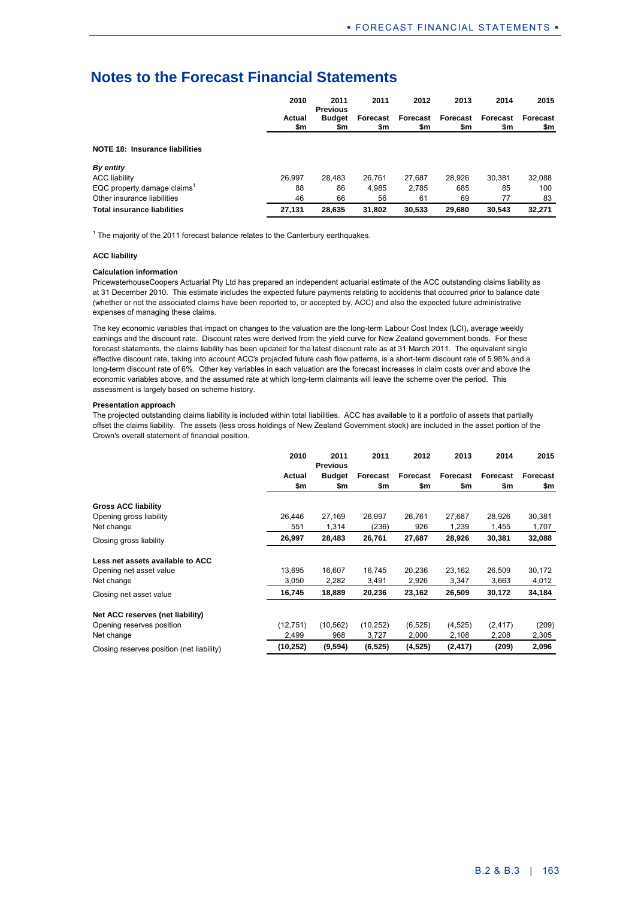|                                    | 2010          | 2011<br><b>Previous</b> | 2011            | 2012            | 2013            | 2014            | 2015            |
|------------------------------------|---------------|-------------------------|-----------------|-----------------|-----------------|-----------------|-----------------|
|                                    | Actual<br>\$m | <b>Budget</b><br>\$m    | Forecast<br>\$m | Forecast<br>\$m | Forecast<br>\$m | Forecast<br>\$m | Forecast<br>\$m |
| NOTE 18: Insurance liabilities     |               |                         |                 |                 |                 |                 |                 |
| By entity                          |               |                         |                 |                 |                 |                 |                 |
| <b>ACC liability</b>               | 26.997        | 28,483                  | 26.761          | 27.687          | 28.926          | 30,381          | 32,088          |
| EQC property damage claims         | 88            | 86                      | 4.985           | 2.785           | 685             | 85              | 100             |
| Other insurance liabilities        | 46            | 66                      | 56              | 61              | 69              | 77              | 83              |
| <b>Total insurance liabilities</b> | 27,131        | 28,635                  | 31,802          | 30,533          | 29,680          | 30.543          | 32,271          |

 $1$  The majority of the 2011 forecast balance relates to the Canterbury earthquakes.

#### **ACC liability**

#### **Calculation information**

PricewaterhouseCoopers Actuarial Pty Ltd has prepared an independent actuarial estimate of the ACC outstanding claims liability as at 31 December 2010. This estimate includes the expected future payments relating to accidents that occurred prior to balance date (whether or not the associated claims have been reported to, or accepted by, ACC) and also the expected future administrative expenses of managing these claims.

The key economic variables that impact on changes to the valuation are the long-term Labour Cost Index (LCI), average weekly earnings and the discount rate. Discount rates were derived from the yield curve for New Zealand government bonds. For these forecast statements, the claims liability has been updated for the latest discount rate as at 31 March 2011. The equivalent single effective discount rate, taking into account ACC's projected future cash flow patterns, is a short-term discount rate of 5.98% and a long-term discount rate of 6%. Other key variables in each valuation are the forecast increases in claim costs over and above the economic variables above, and the assumed rate at which long-term claimants will leave the scheme over the period. This assessment is largely based on scheme history.

#### **Presentation approach**

The projected outstanding claims liability is included within total liabilities. ACC has available to it a portfolio of assets that partially offset the claims liability. The assets (less cross holdings of New Zealand Government stock) are included in the asset portion of the Crown's overall statement of financial position.

|                                           | 2010      | 2011<br><b>Previous</b> | 2011      | 2012     | 2013     | 2014     | 2015     |
|-------------------------------------------|-----------|-------------------------|-----------|----------|----------|----------|----------|
|                                           | Actual    | <b>Budget</b>           | Forecast  | Forecast | Forecast | Forecast | Forecast |
|                                           | \$m       | \$m                     | \$m       | \$m      | \$m      | \$m      | \$m      |
| <b>Gross ACC liability</b>                |           |                         |           |          |          |          |          |
| Opening gross liability                   | 26.446    | 27,169                  | 26.997    | 26.761   | 27,687   | 28,926   | 30,381   |
| Net change                                | 551       | 1,314                   | (236)     | 926      | 1,239    | 1,455    | 1,707    |
| Closing gross liability                   | 26,997    | 28,483                  | 26,761    | 27,687   | 28,926   | 30,381   | 32,088   |
| Less net assets available to ACC          |           |                         |           |          |          |          |          |
| Opening net asset value                   | 13.695    | 16.607                  | 16.745    | 20.236   | 23,162   | 26.509   | 30,172   |
| Net change                                | 3.050     | 2,282                   | 3,491     | 2,926    | 3,347    | 3,663    | 4,012    |
| Closing net asset value                   | 16,745    | 18,889                  | 20,236    | 23,162   | 26,509   | 30,172   | 34,184   |
| Net ACC reserves (net liability)          |           |                         |           |          |          |          |          |
| Opening reserves position                 | (12, 751) | (10, 562)               | (10, 252) | (6, 525) | (4, 525) | (2, 417) | (209)    |
| Net change                                | 2,499     | 968                     | 3,727     | 2,000    | 2,108    | 2,208    | 2,305    |
| Closing reserves position (net liability) | (10, 252) | (9,594)                 | (6, 525)  | (4, 525) | (2, 417) | (209)    | 2,096    |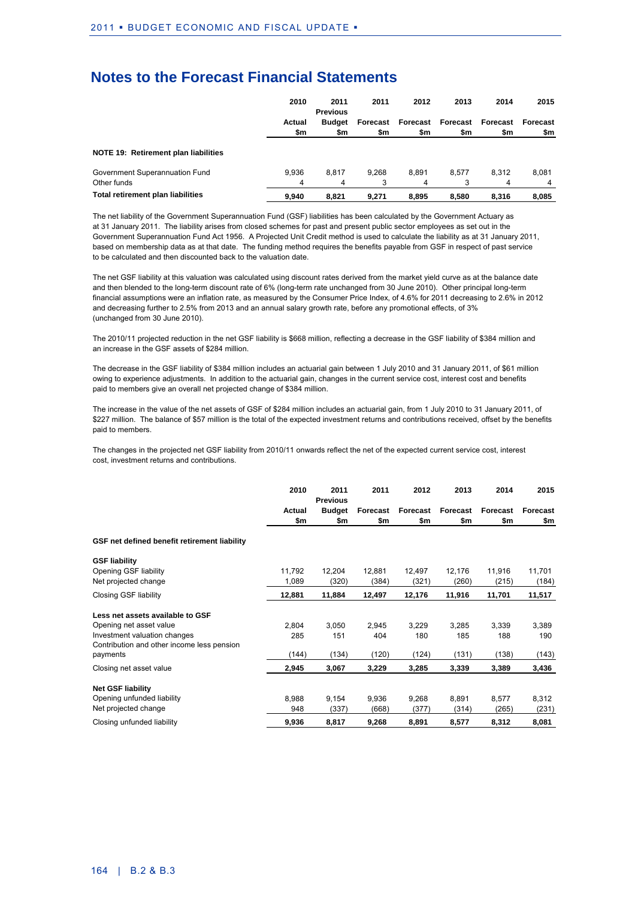|                                      | 2010   | 2011<br><b>Previous</b> | 2011  | 2012              | 2013     | 2014     | 2015     |
|--------------------------------------|--------|-------------------------|-------|-------------------|----------|----------|----------|
|                                      | Actual | <b>Budget</b>           |       | Forecast Forecast | Forecast | Forecast | Forecast |
|                                      | \$m    | \$m                     | \$m   | \$m               | \$m      | \$m      | \$m      |
| NOTE 19: Retirement plan liabilities |        |                         |       |                   |          |          |          |
| Government Superannuation Fund       | 9.936  | 8.817                   | 9,268 | 8.891             | 8.577    | 8.312    | 8.081    |
| Other funds                          | 4      | 4                       |       | 4                 | 3        | 4        |          |
| Total retirement plan liabilities    | 9.940  | 8.821                   | 9.271 | 8,895             | 8.580    | 8.316    | 8.085    |

The net liability of the Government Superannuation Fund (GSF) liabilities has been calculated by the Government Actuary as at 31 January 2011. The liability arises from closed schemes for past and present public sector employees as set out in the Government Superannuation Fund Act 1956. A Projected Unit Credit method is used to calculate the liability as at 31 January 2011, based on membership data as at that date. The funding method requires the benefits payable from GSF in respect of past service to be calculated and then discounted back to the valuation date.

The net GSF liability at this valuation was calculated using discount rates derived from the market yield curve as at the balance date and then blended to the long-term discount rate of 6% (long-term rate unchanged from 30 June 2010). Other principal long-term financial assumptions were an inflation rate, as measured by the Consumer Price Index, of 4.6% for 2011 decreasing to 2.6% in 2012 and decreasing further to 2.5% from 2013 and an annual salary growth rate, before any promotional effects, of 3% (unchanged from 30 June 2010).

The 2010/11 projected reduction in the net GSF liability is \$668 million, reflecting a decrease in the GSF liability of \$384 million and an increase in the GSF assets of \$284 million.

The decrease in the GSF liability of \$384 million includes an actuarial gain between 1 July 2010 and 31 January 2011, of \$61 million owing to experience adjustments. In addition to the actuarial gain, changes in the current service cost, interest cost and benefits paid to members give an overall net projected change of \$384 million.

The increase in the value of the net assets of GSF of \$284 million includes an actuarial gain, from 1 July 2010 to 31 January 2011, of \$227 million. The balance of \$57 million is the total of the expected investment returns and contributions received, offset by the benefits paid to members.

The changes in the projected net GSF liability from 2010/11 onwards reflect the net of the expected current service cost, interest cost, investment returns and contributions.

|                                              | 2010   | 2011<br><b>Previous</b> | 2011     | 2012     | 2013     | 2014     | 2015     |
|----------------------------------------------|--------|-------------------------|----------|----------|----------|----------|----------|
|                                              | Actual | <b>Budget</b>           | Forecast | Forecast | Forecast | Forecast | Forecast |
|                                              | \$m    | \$m                     | \$m      | \$m      | \$m      | \$m      | \$m      |
| GSF net defined benefit retirement liability |        |                         |          |          |          |          |          |
| <b>GSF liability</b>                         |        |                         |          |          |          |          |          |
| Opening GSF liability                        | 11,792 | 12,204                  | 12,881   | 12,497   | 12,176   | 11,916   | 11,701   |
| Net projected change                         | 1,089  | (320)                   | (384)    | (321)    | (260)    | (215)    | (184)    |
| Closing GSF liability                        | 12,881 | 11,884                  | 12,497   | 12,176   | 11,916   | 11,701   | 11,517   |
| Less net assets available to GSF             |        |                         |          |          |          |          |          |
| Opening net asset value                      | 2,804  | 3,050                   | 2,945    | 3,229    | 3,285    | 3,339    | 3,389    |
| Investment valuation changes                 | 285    | 151                     | 404      | 180      | 185      | 188      | 190      |
| Contribution and other income less pension   |        |                         |          |          |          |          |          |
| payments                                     | (144)  | (134)                   | (120)    | (124)    | (131)    | (138)    | (143)    |
| Closing net asset value                      | 2,945  | 3,067                   | 3,229    | 3,285    | 3,339    | 3,389    | 3,436    |
| <b>Net GSF liability</b>                     |        |                         |          |          |          |          |          |
| Opening unfunded liability                   | 8,988  | 9,154                   | 9,936    | 9,268    | 8,891    | 8,577    | 8,312    |
| Net projected change                         | 948    | (337)                   | (668)    | (377)    | (314)    | (265)    | (231)    |
| Closing unfunded liability                   | 9,936  | 8,817                   | 9,268    | 8,891    | 8,577    | 8,312    | 8,081    |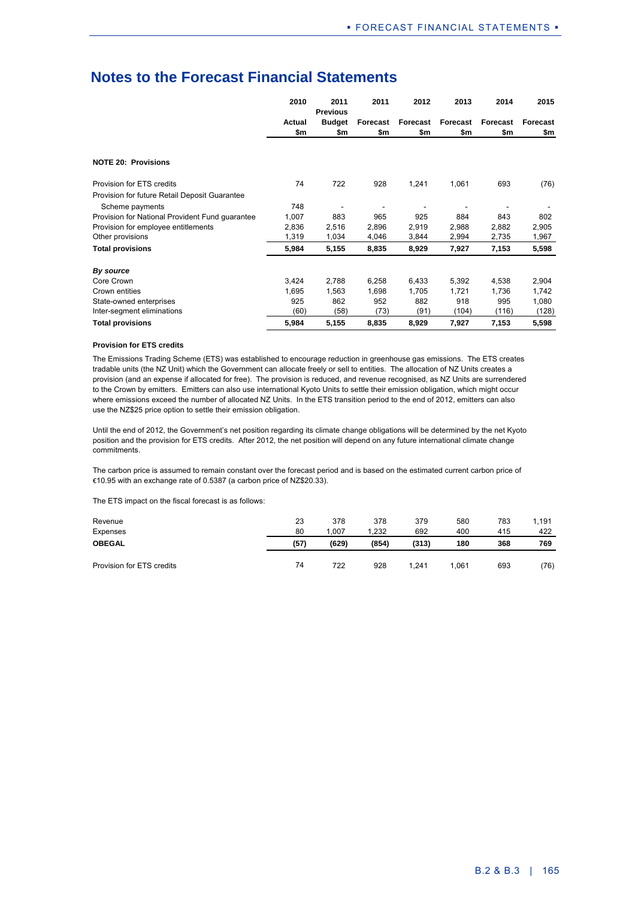|                                                 | 2010   | 2011<br><b>Previous</b> | 2011     | 2012     | 2013     | 2014     | 2015     |
|-------------------------------------------------|--------|-------------------------|----------|----------|----------|----------|----------|
|                                                 | Actual | <b>Budget</b>           | Forecast | Forecast | Forecast | Forecast | Forecast |
|                                                 | \$m    | \$m                     | \$m      | \$m      | \$m      | \$m      | \$m      |
|                                                 |        |                         |          |          |          |          |          |
| <b>NOTE 20: Provisions</b>                      |        |                         |          |          |          |          |          |
| Provision for ETS credits                       | 74     | 722                     | 928      | 1,241    | 1,061    | 693      | (76)     |
| Provision for future Retail Deposit Guarantee   |        |                         |          |          |          |          |          |
| Scheme payments                                 | 748    |                         |          |          |          |          |          |
| Provision for National Provident Fund guarantee | 1,007  | 883                     | 965      | 925      | 884      | 843      | 802      |
| Provision for employee entitlements             | 2,836  | 2,516                   | 2,896    | 2,919    | 2,988    | 2,882    | 2,905    |
| Other provisions                                | 1,319  | 1,034                   | 4,046    | 3,844    | 2,994    | 2,735    | 1,967    |
| <b>Total provisions</b>                         | 5,984  | 5,155                   | 8,835    | 8,929    | 7,927    | 7,153    | 5,598    |
| By source                                       |        |                         |          |          |          |          |          |
| Core Crown                                      | 3,424  | 2,788                   | 6,258    | 6,433    | 5,392    | 4,538    | 2,904    |
| Crown entities                                  | 1,695  | 1,563                   | 1,698    | 1,705    | 1,721    | 1,736    | 1,742    |
| State-owned enterprises                         | 925    | 862                     | 952      | 882      | 918      | 995      | 1,080    |
| Inter-segment eliminations                      | (60)   | (58)                    | (73)     | (91)     | (104)    | (116)    | (128)    |
| <b>Total provisions</b>                         | 5,984  | 5,155                   | 8,835    | 8,929    | 7,927    | 7,153    | 5,598    |

#### **Provision for ETS credits**

The Emissions Trading Scheme (ETS) was established to encourage reduction in greenhouse gas emissions. The ETS creates tradable units (the NZ Unit) which the Government can allocate freely or sell to entities. The allocation of NZ Units creates a provision (and an expense if allocated for free). The provision is reduced, and revenue recognised, as NZ Units are surrendered to the Crown by emitters. Emitters can also use international Kyoto Units to settle their emission obligation, which might occur where emissions exceed the number of allocated NZ Units. In the ETS transition period to the end of 2012, emitters can also use the NZ\$25 price option to settle their emission obligation.

Until the end of 2012, the Government's net position regarding its climate change obligations will be determined by the net Kyoto position and the provision for ETS credits. After 2012, the net position will depend on any future international climate change commitments.

The carbon price is assumed to remain constant over the forecast period and is based on the estimated current carbon price of €10.95 with an exchange rate of 0.5387 (a carbon price of NZ\$20.33).

The ETS impact on the fiscal forecast is as follows:

| Revenue<br>Expenses       | 23<br>80 | 378<br>.007 | 378<br>.232 | 379<br>692 | 580<br>400 | 783<br>415 | 1.191<br>422 |
|---------------------------|----------|-------------|-------------|------------|------------|------------|--------------|
| <b>OBEGAL</b>             | (57)     | (629)       | (854)       | (313)      | 180        | 368        | 769          |
| Provision for ETS credits | 74       | 722         | 928         | 1.241      | .061       | 693        | (76)         |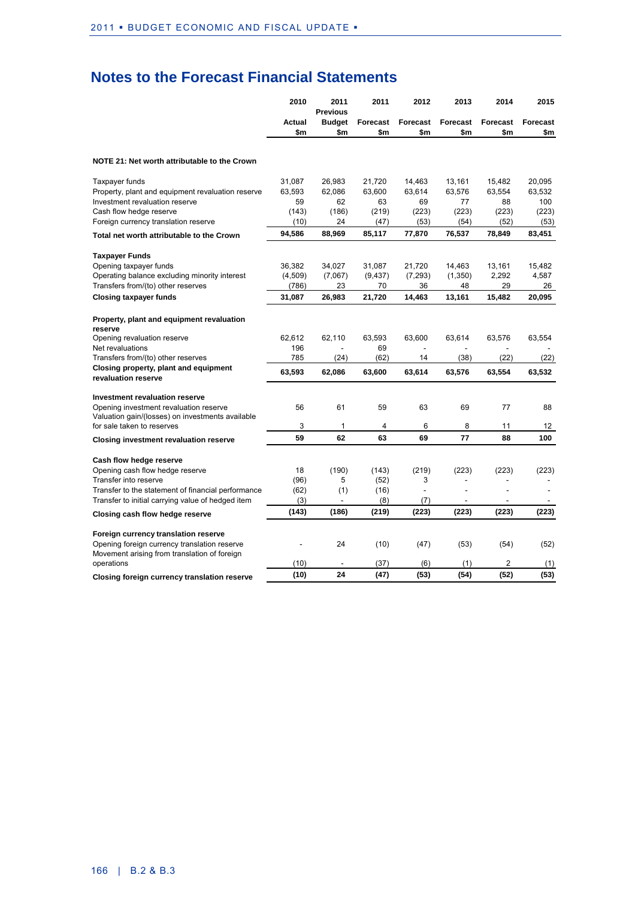|                                                                                                                                                                                                | 2010                                    | 2011<br><b>Previous</b>                       | 2011                                    | 2012                                    | 2013                                    | 2014                                    | 2015                                     |
|------------------------------------------------------------------------------------------------------------------------------------------------------------------------------------------------|-----------------------------------------|-----------------------------------------------|-----------------------------------------|-----------------------------------------|-----------------------------------------|-----------------------------------------|------------------------------------------|
|                                                                                                                                                                                                | <b>Actual</b><br>\$m                    | <b>Budget</b><br>\$m                          | Forecast<br>\$m                         | Forecast<br>\$m                         | Forecast<br>\$m                         | Forecast<br>\$m                         | Forecast<br>\$m                          |
| NOTE 21: Net worth attributable to the Crown                                                                                                                                                   |                                         |                                               |                                         |                                         |                                         |                                         |                                          |
| <b>Taxpayer funds</b><br>Property, plant and equipment revaluation reserve<br>Investment revaluation reserve<br>Cash flow hedge reserve<br>Foreign currency translation reserve                | 31.087<br>63,593<br>59<br>(143)<br>(10) | 26.983<br>62,086<br>62<br>(186)<br>24         | 21,720<br>63,600<br>63<br>(219)<br>(47) | 14.463<br>63,614<br>69<br>(223)<br>(53) | 13.161<br>63,576<br>77<br>(223)<br>(54) | 15.482<br>63,554<br>88<br>(223)<br>(52) | 20.095<br>63,532<br>100<br>(223)<br>(53) |
| Total net worth attributable to the Crown                                                                                                                                                      | 94,586                                  | 88,969                                        | 85,117                                  | 77,870                                  | 76,537                                  | 78,849                                  | 83,451                                   |
| <b>Taxpayer Funds</b><br>Opening taxpayer funds<br>Operating balance excluding minority interest<br>Transfers from/(to) other reserves<br><b>Closing taxpayer funds</b>                        | 36,382<br>(4,509)<br>(786)<br>31,087    | 34,027<br>(7,067)<br>23<br>26,983             | 31,087<br>(9, 437)<br>70<br>21,720      | 21,720<br>(7, 293)<br>36<br>14,463      | 14,463<br>(1,350)<br>48<br>13,161       | 13,161<br>2,292<br>29<br>15,482         | 15,482<br>4,587<br>26<br>20,095          |
| Property, plant and equipment revaluation<br>reserve<br>Opening revaluation reserve<br>Net revaluations<br>Transfers from/(to) other reserves                                                  | 62,612<br>196<br>785                    | 62,110<br>(24)                                | 63,593<br>69<br>(62)                    | 63,600<br>14                            | 63,614<br>(38)                          | 63,576<br>(22)                          | 63,554<br>(22)                           |
| Closing property, plant and equipment<br>revaluation reserve                                                                                                                                   | 63,593                                  | 62,086                                        | 63,600                                  | 63,614                                  | 63,576                                  | 63,554                                  | 63,532                                   |
| <b>Investment revaluation reserve</b><br>Opening investment revaluation reserve<br>Valuation gain/(losses) on investments available<br>for sale taken to reserves                              | 56<br>3                                 | 61<br>1                                       | 59<br>4                                 | 63<br>6                                 | 69<br>8                                 | 77<br>11                                | 88<br>12                                 |
| <b>Closing investment revaluation reserve</b>                                                                                                                                                  | 59                                      | 62                                            | 63                                      | 69                                      | 77                                      | 88                                      | 100                                      |
| Cash flow hedge reserve<br>Opening cash flow hedge reserve<br>Transfer into reserve<br>Transfer to the statement of financial performance<br>Transfer to initial carrying value of hedged item | 18<br>(96)<br>(62)<br>(3)               | (190)<br>5<br>(1)<br>$\overline{\phantom{a}}$ | (143)<br>(52)<br>(16)<br>(8)            | (219)<br>3<br>(7)                       | (223)<br>÷,                             | (223)<br>$\overline{\phantom{a}}$       | (223)<br>$\sim$                          |
| Closing cash flow hedge reserve                                                                                                                                                                | (143)                                   | (186)                                         | (219)                                   | (223)                                   | (223)                                   | (223)                                   | (223)                                    |
| Foreign currency translation reserve<br>Opening foreign currency translation reserve<br>Movement arising from translation of foreign<br>operations                                             | (10)                                    | 24                                            | (10)<br>(37)                            | (47)<br>(6)                             | (53)<br>(1)                             | (54)<br>2                               | (52)<br>(1)                              |
| Closing foreign currency translation reserve                                                                                                                                                   | (10)                                    | 24                                            | (47)                                    | (53)                                    | (54)                                    | (52)                                    | (53)                                     |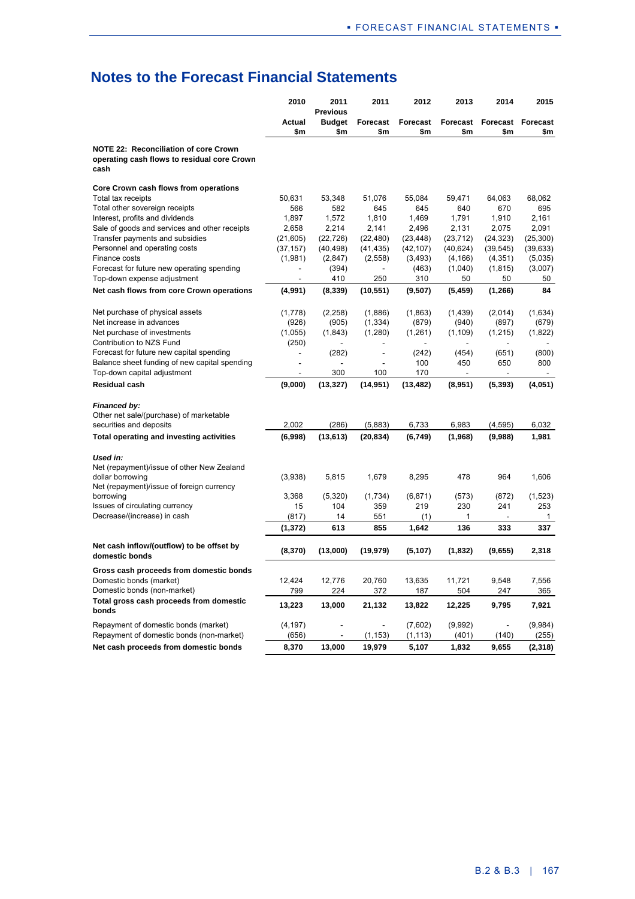|                                                                                                     | 2010           | 2011<br><b>Previous</b> | 2011            | 2012            | 2013            | 2014           | 2015                     |
|-----------------------------------------------------------------------------------------------------|----------------|-------------------------|-----------------|-----------------|-----------------|----------------|--------------------------|
|                                                                                                     | Actual<br>\$m  | <b>Budget</b>           | Forecast<br>\$m | Forecast<br>\$m | Forecast<br>\$m | \$m            | <b>Forecast Forecast</b> |
| <b>NOTE 22: Reconciliation of core Crown</b><br>operating cash flows to residual core Crown<br>cash |                | \$m                     |                 |                 |                 |                | \$m                      |
| Core Crown cash flows from operations                                                               |                |                         |                 |                 |                 |                |                          |
| Total tax receipts                                                                                  | 50,631         | 53,348                  | 51,076          | 55,084          | 59,471          | 64,063         | 68,062                   |
| Total other sovereign receipts                                                                      | 566            | 582                     | 645             | 645             | 640             | 670            | 695                      |
| Interest, profits and dividends                                                                     | 1,897          | 1,572                   | 1,810           | 1,469           | 1,791           | 1,910          | 2,161                    |
| Sale of goods and services and other receipts                                                       | 2,658          | 2,214                   | 2,141           | 2,496           | 2,131           | 2,075          | 2,091                    |
| Transfer payments and subsidies                                                                     | (21, 605)      | (22, 726)               | (22, 480)       | (23, 448)       | (23, 712)       | (24, 323)      | (25, 300)                |
| Personnel and operating costs                                                                       | (37, 157)      | (40, 498)               | (41, 435)       | (42, 107)       | (40, 624)       | (39, 545)      | (39, 633)                |
| Finance costs<br>Forecast for future new operating spending                                         | (1,981)        | (2, 847)                | (2,558)         | (3, 493)        | (4, 166)        | (4, 351)       | (5,035)                  |
| Top-down expense adjustment                                                                         | ä,             | (394)<br>410            | 250             | (463)<br>310    | (1,040)<br>50   | (1, 815)<br>50 | (3,007)<br>50            |
| Net cash flows from core Crown operations                                                           | (4,991)        | (8,339)                 | (10, 551)       | (9,507)         | (5, 459)        | (1, 266)       | 84                       |
|                                                                                                     |                |                         |                 |                 |                 |                |                          |
| Net purchase of physical assets                                                                     | (1,778)        | (2, 258)                | (1,886)         | (1,863)         | (1,439)         | (2,014)        | (1,634)                  |
| Net increase in advances<br>Net purchase of investments                                             | (926)          | (905)                   | (1, 334)        | (879)           | (940)           | (897)          | (679)                    |
|                                                                                                     | (1,055)        | (1, 843)                | (1,280)         | (1, 261)        | (1, 109)        | (1,215)        | (1,822)                  |
| Contribution to NZS Fund<br>Forecast for future new capital spending                                | (250)          | (282)                   | $\overline{a}$  | (242)           | (454)           | (651)          | (800)                    |
| Balance sheet funding of new capital spending                                                       | $\overline{a}$ | ٠                       |                 | 100             | 450             | 650            | 800                      |
| Top-down capital adjustment                                                                         |                | 300                     | 100             | 170             |                 |                |                          |
| Residual cash                                                                                       | (9,000)        | (13, 327)               | (14, 951)       | (13, 482)       | (8,951)         | (5, 393)       | (4,051)                  |
| <b>Financed by:</b>                                                                                 |                |                         |                 |                 |                 |                |                          |
| Other net sale/(purchase) of marketable                                                             |                |                         |                 |                 |                 |                |                          |
| securities and deposits                                                                             | 2,002          | (286)                   | (5,883)         | 6,733           | 6,983           | (4, 595)       | 6,032                    |
| Total operating and investing activities                                                            | (6,998)        | (13, 613)               | (20, 834)       | (6, 749)        | (1,968)         | (9,988)        | 1,981                    |
| Used in:                                                                                            |                |                         |                 |                 |                 |                |                          |
| Net (repayment)/issue of other New Zealand                                                          |                |                         |                 |                 |                 |                |                          |
| dollar borrowing                                                                                    | (3,938)        | 5,815                   | 1,679           | 8,295           | 478             | 964            | 1,606                    |
| Net (repayment)/issue of foreign currency                                                           |                |                         |                 |                 |                 |                |                          |
| borrowing                                                                                           | 3,368          | (5,320)                 | (1,734)         | (6, 871)        | (573)           | (872)          | (1,523)                  |
| Issues of circulating currency                                                                      | 15             | 104                     | 359             | 219             | 230             | 241            | 253                      |
| Decrease/(increase) in cash                                                                         | (817)          | 14                      | 551             | (1)             | 1               |                | $\mathbf{1}$             |
|                                                                                                     | (1,372)        | 613                     | 855             | 1,642           | 136             | 333            | 337                      |
| Net cash inflow/(outflow) to be offset by<br>domestic bonds                                         | (8,370)        | (13,000)                | (19, 979)       | (5, 107)        | (1,832)         | (9,655)        | 2,318                    |
| Gross cash proceeds from domestic bonds                                                             |                |                         |                 |                 |                 |                |                          |
| Domestic bonds (market)                                                                             | 12,424         | 12,776                  | 20,760          | 13,635          | 11,721          | 9,548          | 7,556                    |
| Domestic bonds (non-market)                                                                         | 799            | 224                     | 372             | 187             | 504             | 247            | 365                      |
| Total gross cash proceeds from domestic<br>bonds                                                    | 13,223         | 13,000                  | 21,132          | 13,822          | 12,225          | 9,795          | 7,921                    |
| Repayment of domestic bonds (market)                                                                | (4, 197)       |                         |                 | (7,602)         | (9,992)         |                | (9,984)                  |
| Repayment of domestic bonds (non-market)                                                            | (656)          |                         | (1, 153)        | (1, 113)        | (401)           | (140)          | (255)                    |
| Net cash proceeds from domestic bonds                                                               | 8,370          | 13,000                  | 19,979          | 5,107           | 1,832           | 9,655          | (2,318)                  |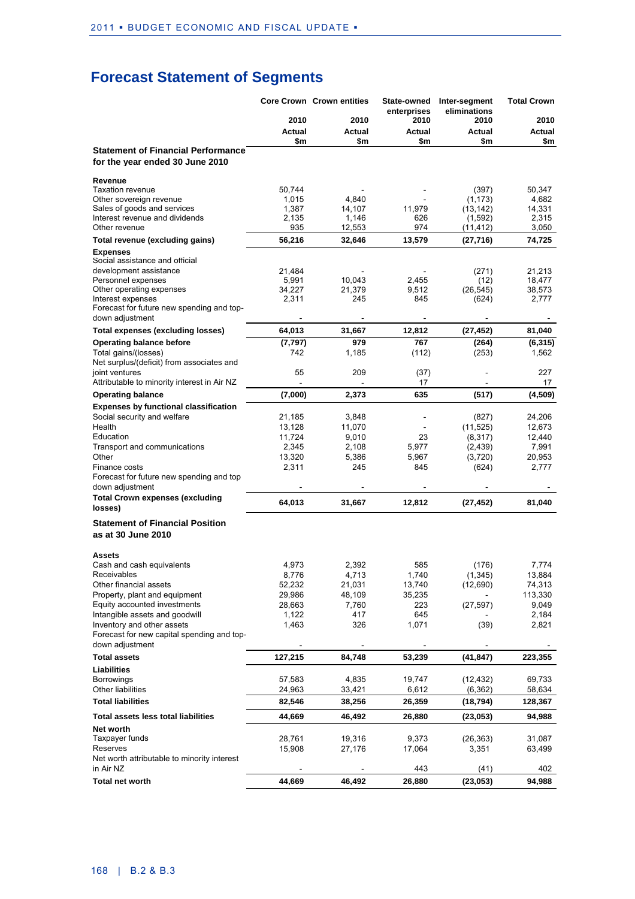## **Forecast Statement of Segments**

|                                                                              |                  | <b>Core Crown Crown entities</b> | State-owned<br>enterprises | Inter-segment<br>eliminations | <b>Total Crown</b> |
|------------------------------------------------------------------------------|------------------|----------------------------------|----------------------------|-------------------------------|--------------------|
|                                                                              | 2010             | 2010                             | 2010                       | 2010                          | 2010               |
|                                                                              | Actual           | Actual                           | Actual                     | Actual                        | Actual             |
|                                                                              | \$m              | \$m                              | \$m                        | \$m                           | \$m                |
| <b>Statement of Financial Performance</b><br>for the year ended 30 June 2010 |                  |                                  |                            |                               |                    |
| Revenue                                                                      |                  |                                  |                            |                               |                    |
| <b>Taxation revenue</b>                                                      | 50,744           |                                  |                            | (397)                         | 50,347             |
| Other sovereign revenue                                                      | 1,015            | 4,840                            |                            | (1, 173)                      | 4,682              |
| Sales of goods and services                                                  | 1,387            | 14,107                           | 11,979                     | (13, 142)                     | 14,331             |
| Interest revenue and dividends<br>Other revenue                              | 2,135<br>935     | 1,146<br>12,553                  | 626<br>974                 | (1,592)<br>(11, 412)          | 2,315<br>3,050     |
| Total revenue (excluding gains)                                              | 56,216           | 32,646                           | 13,579                     | (27, 716)                     | 74,725             |
| <b>Expenses</b>                                                              |                  |                                  |                            |                               |                    |
| Social assistance and official                                               |                  |                                  |                            |                               |                    |
| development assistance                                                       | 21,484           |                                  |                            | (271)                         | 21,213             |
| Personnel expenses                                                           | 5,991            | 10,043                           | 2,455                      | (12)                          | 18,477             |
| Other operating expenses                                                     | 34,227           | 21,379                           | 9,512                      | (26, 545)                     | 38,573             |
| Interest expenses<br>Forecast for future new spending and top-               | 2,311            | 245                              | 845                        | (624)                         | 2,777              |
| down adjustment                                                              |                  |                                  |                            |                               |                    |
| Total expenses (excluding losses)                                            | 64,013           | 31,667                           | 12,812                     | (27, 452)                     | 81,040             |
| <b>Operating balance before</b>                                              | (7, 797)         | 979                              | 767                        | (264)                         | (6, 315)           |
| Total gains/(losses)                                                         | 742              | 1,185                            | (112)                      | (253)                         | 1,562              |
| Net surplus/(deficit) from associates and                                    |                  |                                  |                            |                               |                    |
| joint ventures                                                               | 55               | 209                              | (37)                       |                               | 227                |
| Attributable to minority interest in Air NZ                                  |                  |                                  | 17                         |                               | 17                 |
| <b>Operating balance</b>                                                     | (7,000)          | 2,373                            | 635                        | (517)                         | (4,509)            |
| <b>Expenses by functional classification</b>                                 |                  |                                  |                            |                               |                    |
| Social security and welfare                                                  | 21,185           | 3,848                            |                            | (827)                         | 24,206             |
| Health                                                                       | 13,128           | 11,070                           |                            | (11, 525)                     | 12,673             |
| Education<br>Transport and communications                                    | 11,724<br>2,345  | 9,010<br>2,108                   | 23<br>5,977                | (8,317)<br>(2, 439)           | 12,440<br>7,991    |
| Other                                                                        | 13,320           | 5,386                            | 5,967                      | (3,720)                       | 20,953             |
| Finance costs                                                                | 2,311            | 245                              | 845                        | (624)                         | 2,777              |
| Forecast for future new spending and top                                     |                  |                                  |                            |                               |                    |
| down adjustment                                                              |                  |                                  |                            |                               |                    |
| <b>Total Crown expenses (excluding</b><br>losses)                            | 64,013           | 31,667                           | 12,812                     | (27, 452)                     | 81,040             |
|                                                                              |                  |                                  |                            |                               |                    |
| <b>Statement of Financial Position</b><br>as at 30 June 2010                 |                  |                                  |                            |                               |                    |
| Assets                                                                       |                  |                                  |                            |                               |                    |
| Cash and cash equivalents                                                    | 4.973            | 2,392                            | 585                        | (176)                         | 7,774              |
| Receivables                                                                  | 8,776            | 4,713                            | 1,740                      | (1, 345)                      | 13,884             |
| Other financial assets                                                       | 52,232           | 21,031                           | 13,740                     | (12,690)                      | 74,313             |
| Property, plant and equipment<br>Equity accounted investments                | 29,986<br>28,663 | 48,109<br>7,760                  | 35,235<br>223              | (27, 597)                     | 113,330<br>9,049   |
| Intangible assets and goodwill                                               | 1,122            | 417                              | 645                        |                               | 2,184              |
| Inventory and other assets                                                   | 1,463            | 326                              | 1,071                      | (39)                          | 2,821              |
| Forecast for new capital spending and top-<br>down adjustment                |                  |                                  |                            |                               |                    |
| <b>Total assets</b>                                                          | 127,215          | 84,748                           | 53,239                     | (41, 847)                     | 223,355            |
| <b>Liabilities</b>                                                           |                  |                                  |                            |                               |                    |
| Borrowings                                                                   | 57,583           | 4,835                            | 19,747                     | (12, 432)                     | 69,733             |
| <b>Other liabilities</b>                                                     | 24,963           | 33,421                           | 6,612                      | (6, 362)                      | 58,634             |
| <b>Total liabilities</b>                                                     | 82,546           | 38,256                           | 26,359                     | (18, 794)                     | 128,367            |
| Total assets less total liabilities                                          | 44,669           | 46,492                           | 26,880                     | (23,053)                      | 94,988             |
| Net worth                                                                    |                  |                                  |                            |                               |                    |
| Taxpayer funds                                                               | 28,761           | 19,316                           | 9,373                      | (26, 363)                     | 31,087             |
| Reserves                                                                     | 15,908           | 27,176                           | 17,064                     | 3,351                         | 63,499             |
| Net worth attributable to minority interest                                  |                  |                                  |                            |                               |                    |
| in Air NZ                                                                    |                  |                                  | 443                        | (41)                          | 402                |
| <b>Total net worth</b>                                                       | 44,669           | 46,492                           | 26,880                     | (23, 053)                     | 94,988             |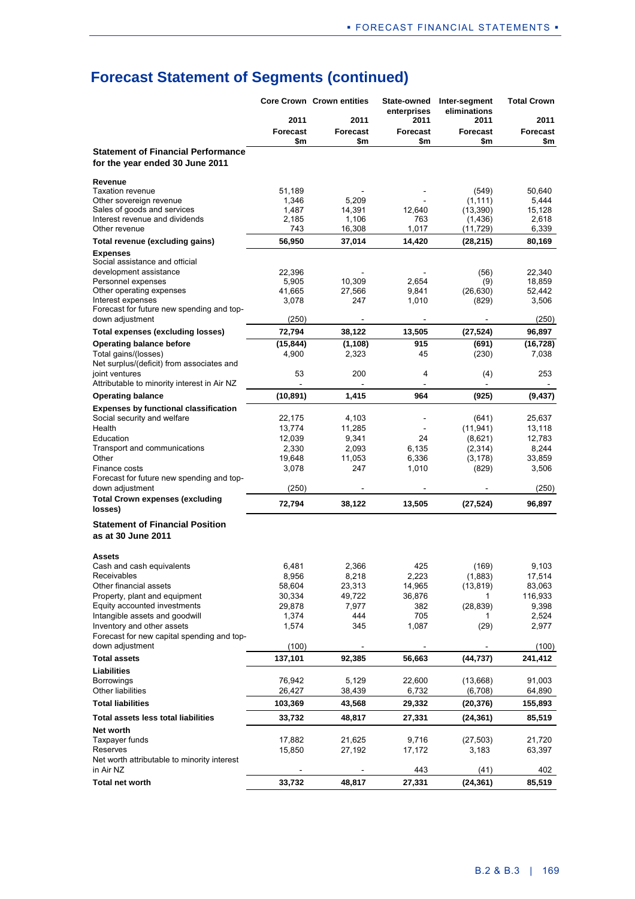|                                                                              |                        | <b>Core Crown Crown entities</b> | State-owned<br>enterprises | Inter-segment<br>eliminations | <b>Total Crown</b> |
|------------------------------------------------------------------------------|------------------------|----------------------------------|----------------------------|-------------------------------|--------------------|
|                                                                              | 2011                   | 2011                             | 2011                       | 2011                          | 2011               |
|                                                                              | <b>Forecast</b><br>\$m | <b>Forecast</b><br>\$m           | Forecast<br>\$m            | <b>Forecast</b><br>\$m        | Forecast<br>\$m    |
| <b>Statement of Financial Performance</b><br>for the year ended 30 June 2011 |                        |                                  |                            |                               |                    |
| Revenue                                                                      |                        |                                  |                            |                               |                    |
| <b>Taxation revenue</b>                                                      | 51,189                 |                                  |                            | (549)                         | 50,640             |
| Other sovereign revenue<br>Sales of goods and services                       | 1,346<br>1,487         | 5,209<br>14,391                  | 12,640                     | (1, 111)<br>(13, 390)         | 5,444<br>15,128    |
| Interest revenue and dividends                                               | 2,185                  | 1,106                            | 763                        | (1, 436)                      | 2,618              |
| Other revenue                                                                | 743                    | 16,308                           | 1,017                      | (11, 729)                     | 6,339              |
| Total revenue (excluding gains)                                              | 56,950                 | 37,014                           | 14,420                     | (28, 215)                     | 80,169             |
| <b>Expenses</b><br>Social assistance and official                            |                        |                                  |                            |                               |                    |
| development assistance                                                       | 22,396                 |                                  |                            | (56)                          | 22,340             |
| Personnel expenses                                                           | 5,905                  | 10,309                           | 2,654                      | (9)                           | 18,859             |
| Other operating expenses<br>Interest expenses                                | 41,665<br>3,078        | 27,566<br>247                    | 9,841<br>1,010             | (26, 630)<br>(829)            | 52,442<br>3,506    |
| Forecast for future new spending and top-                                    |                        |                                  |                            |                               |                    |
| down adjustment                                                              | (250)                  |                                  |                            |                               | (250)              |
| <b>Total expenses (excluding losses)</b>                                     | 72,794                 | 38,122                           | 13,505                     | (27, 524)                     | 96,897             |
| <b>Operating balance before</b>                                              | (15, 844)              | (1, 108)                         | 915                        | (691)                         | (16,728)           |
| Total gains/(losses)<br>Net surplus/(deficit) from associates and            | 4,900                  | 2,323                            | 45                         | (230)                         | 7,038              |
| joint ventures                                                               | 53                     | 200                              | 4                          | (4)                           | 253                |
| Attributable to minority interest in Air NZ                                  |                        |                                  |                            |                               |                    |
| <b>Operating balance</b>                                                     | (10, 891)              | 1,415                            | 964                        | (925)                         | (9, 437)           |
| <b>Expenses by functional classification</b>                                 |                        |                                  |                            |                               |                    |
| Social security and welfare                                                  | 22,175                 | 4,103                            |                            | (641)                         | 25,637             |
| Health                                                                       | 13,774                 | 11,285                           |                            | (11, 941)                     | 13,118             |
| Education<br>Transport and communications                                    | 12,039<br>2,330        | 9,341<br>2,093                   | 24<br>6,135                | (8,621)<br>(2,314)            | 12,783<br>8,244    |
| Other                                                                        | 19,648                 | 11,053                           | 6,336                      | (3, 178)                      | 33,859             |
| Finance costs                                                                | 3,078                  | 247                              | 1,010                      | (829)                         | 3,506              |
| Forecast for future new spending and top-                                    |                        |                                  |                            |                               |                    |
| down adjustment                                                              | (250)                  |                                  |                            |                               | (250)              |
| <b>Total Crown expenses (excluding</b><br>losses)                            | 72,794                 | 38,122                           | 13,505                     | (27, 524)                     | 96,897             |
| <b>Statement of Financial Position</b>                                       |                        |                                  |                            |                               |                    |
| as at 30 June 2011                                                           |                        |                                  |                            |                               |                    |
| <b>Assets</b>                                                                |                        |                                  |                            |                               |                    |
| Cash and cash equivalents                                                    | 6,481                  | 2,366                            | 425                        | (169)                         | 9,103              |
| Receivables                                                                  | 8,956                  | 8,218                            | 2,223                      | (1,883)                       | 17,514             |
| Other financial assets<br>Property, plant and equipment                      | 58,604<br>30,334       | 23,313<br>49,722                 | 14,965<br>36,876           | (13, 819)<br>1                | 83,063<br>116,933  |
| Equity accounted investments                                                 | 29,878                 | 7,977                            | 382                        | (28, 839)                     | 9,398              |
| Intangible assets and goodwill                                               | 1,374                  | 444                              | 705                        | 1                             | 2,524              |
| Inventory and other assets                                                   | 1,574                  | 345                              | 1,087                      | (29)                          | 2,977              |
| Forecast for new capital spending and top-<br>down adjustment                |                        |                                  |                            |                               |                    |
| <b>Total assets</b>                                                          | (100)<br>137,101       | 92,385                           | 56,663                     | (44, 737)                     | (100)<br>241,412   |
| Liabilities                                                                  |                        |                                  |                            |                               |                    |
| <b>Borrowings</b>                                                            | 76,942                 | 5,129                            | 22,600                     | (13,668)                      | 91,003             |
| Other liabilities                                                            | 26,427                 | 38,439                           | 6,732                      | (6,708)                       | 64,890             |
| <b>Total liabilities</b>                                                     | 103,369                | 43,568                           | 29,332                     | (20, 376)                     | 155,893            |
| Total assets less total liabilities                                          | 33,732                 | 48,817                           | 27,331                     | (24, 361)                     | 85,519             |
| Net worth                                                                    |                        |                                  |                            |                               |                    |
| Taxpayer funds<br>Reserves                                                   | 17,882                 | 21,625<br>27,192                 | 9,716                      | (27, 503)<br>3,183            | 21,720             |
| Net worth attributable to minority interest                                  | 15,850                 |                                  | 17,172                     |                               | 63,397             |
| in Air NZ                                                                    |                        |                                  | 443                        | (41)                          | 402                |
| <b>Total net worth</b>                                                       | 33,732                 | 48,817                           | 27,331                     | (24, 361)                     | 85,519             |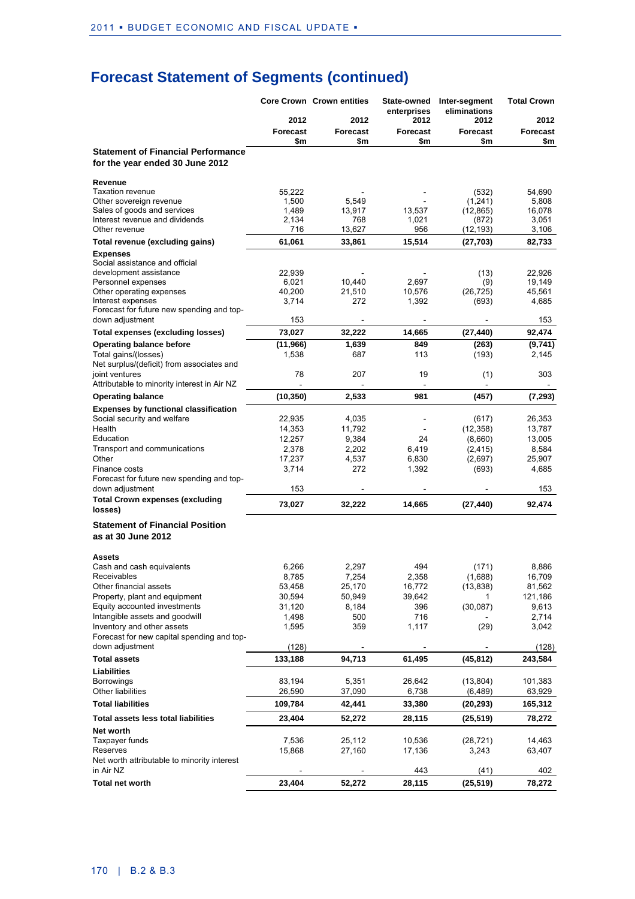|                                                                              |                 | <b>Core Crown Crown entities</b> | State-owned<br>enterprises | Inter-segment<br>eliminations | <b>Total Crown</b> |
|------------------------------------------------------------------------------|-----------------|----------------------------------|----------------------------|-------------------------------|--------------------|
|                                                                              | 2012            | 2012                             | 2012                       | 2012                          | 2012               |
|                                                                              | Forecast<br>\$m | <b>Forecast</b><br>\$m           | Forecast<br>\$m            | <b>Forecast</b><br>\$m        | <b>Forecast</b>    |
| <b>Statement of Financial Performance</b><br>for the year ended 30 June 2012 |                 |                                  |                            |                               | \$m                |
| Revenue                                                                      |                 |                                  |                            |                               |                    |
| <b>Taxation revenue</b>                                                      | 55,222          |                                  |                            | (532)                         | 54,690             |
| Other sovereign revenue<br>Sales of goods and services                       | 1,500<br>1,489  | 5,549<br>13,917                  | 13,537                     | (1, 241)<br>(12, 865)         | 5,808<br>16,078    |
| Interest revenue and dividends                                               | 2,134           | 768                              | 1,021                      | (872)                         | 3,051              |
| Other revenue                                                                | 716             | 13,627                           | 956                        | (12,193)                      | 3,106              |
| Total revenue (excluding gains)                                              | 61,061          | 33,861                           | 15,514                     | (27, 703)                     | 82,733             |
| <b>Expenses</b><br>Social assistance and official                            |                 |                                  |                            |                               |                    |
| development assistance                                                       | 22,939          |                                  |                            | (13)                          | 22,926             |
| Personnel expenses                                                           | 6,021           | 10,440                           | 2,697                      | (9)                           | 19,149             |
| Other operating expenses                                                     | 40,200          | 21,510                           | 10,576                     | (26, 725)                     | 45,561             |
| Interest expenses<br>Forecast for future new spending and top-               | 3,714           | 272                              | 1,392                      | (693)                         | 4,685              |
| down adjustment                                                              | 153             |                                  |                            |                               | 153                |
| <b>Total expenses (excluding losses)</b>                                     | 73,027          | 32,222                           | 14,665                     | (27, 440)                     | 92,474             |
| <b>Operating balance before</b>                                              | (11, 966)       | 1,639                            | 849                        | (263)                         | (9,741)            |
| Total gains/(losses)                                                         | 1,538           | 687                              | 113                        | (193)                         | 2,145              |
| Net surplus/(deficit) from associates and                                    |                 |                                  |                            |                               |                    |
| joint ventures<br>Attributable to minority interest in Air NZ                | 78              | 207                              | 19                         | (1)                           | 303                |
| <b>Operating balance</b>                                                     | (10, 350)       | 2,533                            | $\sim$<br>981              | (457)                         | (7, 293)           |
| <b>Expenses by functional classification</b>                                 |                 |                                  |                            |                               |                    |
| Social security and welfare                                                  | 22,935          | 4,035                            | $\overline{a}$             | (617)                         | 26,353             |
| Health                                                                       | 14,353          | 11,792                           |                            | (12, 358)                     | 13,787             |
| Education                                                                    | 12,257          | 9,384                            | 24                         | (8,660)                       | 13,005             |
| Transport and communications                                                 | 2,378           | 2,202                            | 6,419                      | (2, 415)                      | 8,584              |
| Other                                                                        | 17,237          | 4,537                            | 6,830                      | (2,697)                       | 25,907             |
| Finance costs                                                                | 3,714           | 272                              | 1,392                      | (693)                         | 4,685              |
| Forecast for future new spending and top-<br>down adjustment                 | 153             |                                  |                            |                               | 153                |
| <b>Total Crown expenses (excluding</b>                                       |                 |                                  |                            |                               |                    |
| losses)                                                                      | 73,027          | 32,222                           | 14,665                     | (27, 440)                     | 92,474             |
| <b>Statement of Financial Position</b><br>as at 30 June 2012                 |                 |                                  |                            |                               |                    |
| <b>Assets</b>                                                                | 6,266           | 2,297                            | 494                        |                               | 8,886              |
| Cash and cash equivalents<br>Receivables                                     | 8,785           | 7,254                            | 2,358                      | (171)<br>(1,688)              | 16,709             |
| Other financial assets                                                       | 53,458          | 25,170                           | 16,772                     | (13, 838)                     | 81,562             |
| Property, plant and equipment                                                | 30,594          | 50,949                           | 39,642                     | 1                             | 121,186            |
| Equity accounted investments                                                 | 31,120          | 8,184                            | 396                        | (30,087)                      | 9,613              |
| Intangible assets and goodwill                                               | 1,498           | 500                              | 716                        |                               | 2,714              |
| Inventory and other assets                                                   | 1,595           | 359                              | 1,117                      | (29)                          | 3,042              |
| Forecast for new capital spending and top-<br>down adjustment                | (128)           |                                  |                            |                               | (128)              |
| <b>Total assets</b>                                                          | 133,188         | 94,713                           | 61,495                     | (45, 812)                     | 243,584            |
| Liabilities                                                                  |                 |                                  |                            |                               |                    |
| Borrowings                                                                   | 83,194          | 5,351                            | 26,642                     | (13, 804)                     | 101,383            |
| <b>Other liabilities</b>                                                     | 26,590          | 37,090                           | 6,738                      | (6, 489)                      | 63,929             |
| <b>Total liabilities</b>                                                     | 109,784         | 42,441                           | 33,380                     | (20, 293)                     | 165,312            |
| Total assets less total liabilities                                          | 23,404          | 52,272                           | 28,115                     | (25, 519)                     | 78,272             |
| Net worth<br>Taxpayer funds                                                  | 7,536           | 25,112                           | 10,536                     | (28, 721)                     | 14,463             |
| Reserves                                                                     | 15,868          | 27,160                           | 17,136                     | 3,243                         | 63,407             |
| Net worth attributable to minority interest                                  |                 |                                  |                            |                               |                    |
| in Air NZ                                                                    |                 |                                  | 443                        | (41)                          | 402                |
| <b>Total net worth</b>                                                       | 23,404          | 52,272                           | 28,115                     | (25, 519)                     | 78,272             |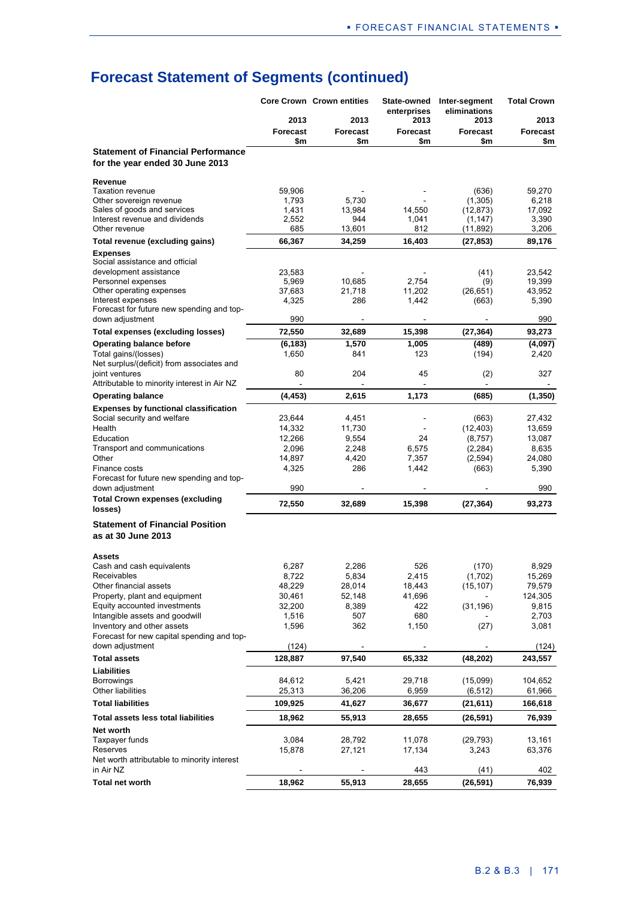|                                                                              |                        | <b>Core Crown Crown entities</b> | State-owned<br>enterprises | Inter-segment<br>eliminations | <b>Total Crown</b>     |
|------------------------------------------------------------------------------|------------------------|----------------------------------|----------------------------|-------------------------------|------------------------|
|                                                                              | 2013                   | 2013                             | 2013                       | 2013                          | 2013                   |
|                                                                              | <b>Forecast</b><br>\$m | Forecast<br>\$m                  | Forecast<br>\$m            | <b>Forecast</b><br>\$m        | <b>Forecast</b><br>\$m |
| <b>Statement of Financial Performance</b><br>for the year ended 30 June 2013 |                        |                                  |                            |                               |                        |
| Revenue                                                                      |                        |                                  |                            |                               |                        |
| <b>Taxation revenue</b>                                                      | 59,906                 |                                  |                            | (636)                         | 59,270                 |
| Other sovereign revenue<br>Sales of goods and services                       | 1,793<br>1,431         | 5,730<br>13,984                  | 14,550                     | (1, 305)<br>(12, 873)         | 6,218<br>17,092        |
| Interest revenue and dividends                                               | 2,552                  | 944                              | 1,041                      | (1, 147)                      | 3,390                  |
| Other revenue                                                                | 685                    | 13,601                           | 812                        | (11,892)                      | 3,206                  |
| Total revenue (excluding gains)                                              | 66,367                 | 34,259                           | 16,403                     | (27, 853)                     | 89,176                 |
| <b>Expenses</b><br>Social assistance and official                            |                        |                                  |                            |                               |                        |
| development assistance                                                       | 23,583                 |                                  |                            | (41)                          | 23,542                 |
| Personnel expenses                                                           | 5,969                  | 10,685                           | 2,754                      | (9)                           | 19,399                 |
| Other operating expenses                                                     | 37,683                 | 21,718                           | 11,202                     | (26, 651)                     | 43,952                 |
| Interest expenses<br>Forecast for future new spending and top-               | 4,325                  | 286                              | 1,442                      | (663)                         | 5,390                  |
| down adjustment                                                              | 990                    |                                  |                            |                               | 990                    |
| <b>Total expenses (excluding losses)</b>                                     | 72,550                 | 32,689                           | 15,398                     | (27, 364)                     | 93,273                 |
| <b>Operating balance before</b>                                              | (6, 183)               | 1,570                            | 1,005                      | (489)                         | (4,097)                |
| Total gains/(losses)                                                         | 1,650                  | 841                              | 123                        | (194)                         | 2,420                  |
| Net surplus/(deficit) from associates and                                    |                        |                                  |                            |                               |                        |
| joint ventures<br>Attributable to minority interest in Air NZ                | 80                     | 204                              | 45                         | (2)                           | 327                    |
| <b>Operating balance</b>                                                     | (4, 453)               | 2,615                            | 1,173                      | (685)                         | (1, 350)               |
| <b>Expenses by functional classification</b>                                 |                        |                                  |                            |                               |                        |
| Social security and welfare                                                  | 23,644                 | 4,451                            |                            | (663)                         | 27,432                 |
| Health                                                                       | 14,332                 | 11,730                           |                            | (12, 403)                     | 13,659                 |
| Education                                                                    | 12,266                 | 9,554                            | 24                         | (8, 757)                      | 13,087                 |
| Transport and communications<br>Other                                        | 2,096                  | 2,248                            | 6,575                      | (2, 284)                      | 8,635                  |
| Finance costs                                                                | 14,897<br>4,325        | 4,420<br>286                     | 7,357<br>1,442             | (2, 594)<br>(663)             | 24,080<br>5,390        |
| Forecast for future new spending and top-                                    |                        |                                  |                            |                               |                        |
| down adjustment                                                              | 990                    |                                  |                            |                               | 990                    |
| <b>Total Crown expenses (excluding</b><br>losses)                            | 72,550                 | 32,689                           | 15,398                     | (27, 364)                     | 93,273                 |
|                                                                              |                        |                                  |                            |                               |                        |
| <b>Statement of Financial Position</b><br>as at 30 June 2013                 |                        |                                  |                            |                               |                        |
| <b>Assets</b>                                                                |                        |                                  |                            |                               |                        |
| Cash and cash equivalents                                                    | 6,287                  | 2,286                            | 526                        | (170)                         | 8,929                  |
| Receivables                                                                  | 8,722                  | 5,834                            | 2,415                      | (1,702)                       | 15,269                 |
| Other financial assets<br>Property, plant and equipment                      | 48,229<br>30,461       | 28,014<br>52,148                 | 18,443<br>41,696           | (15, 107)                     | 79,579<br>124,305      |
| Equity accounted investments                                                 | 32,200                 | 8,389                            | 422                        | (31, 196)                     | 9,815                  |
| Intangible assets and goodwill                                               | 1,516                  | 507                              | 680                        |                               | 2,703                  |
| Inventory and other assets                                                   | 1,596                  | 362                              | 1,150                      | (27)                          | 3,081                  |
| Forecast for new capital spending and top-<br>down adjustment                |                        |                                  |                            |                               |                        |
|                                                                              | (124)                  |                                  | 65,332                     |                               | (124)                  |
| <b>Total assets</b><br>Liabilities                                           | 128,887                | 97,540                           |                            | (48, 202)                     | 243,557                |
| <b>Borrowings</b>                                                            | 84,612                 | 5,421                            | 29,718                     | (15,099)                      | 104,652                |
| Other liabilities                                                            | 25,313                 | 36,206                           | 6,959                      | (6, 512)                      | 61,966                 |
| <b>Total liabilities</b>                                                     | 109,925                | 41,627                           | 36,677                     | (21, 611)                     | 166,618                |
| Total assets less total liabilities                                          | 18,962                 | 55,913                           | 28,655                     | (26, 591)                     | 76,939                 |
| Net worth                                                                    |                        |                                  |                            |                               |                        |
| Taxpayer funds                                                               | 3,084                  | 28,792                           | 11,078                     | (29, 793)                     | 13,161                 |
| Reserves<br>Net worth attributable to minority interest                      | 15,878                 | 27,121                           | 17,134                     | 3,243                         | 63,376                 |
| in Air NZ                                                                    |                        |                                  | 443                        | (41)                          | 402                    |
| <b>Total net worth</b>                                                       | 18,962                 | 55,913                           | 28,655                     | (26, 591)                     | 76,939                 |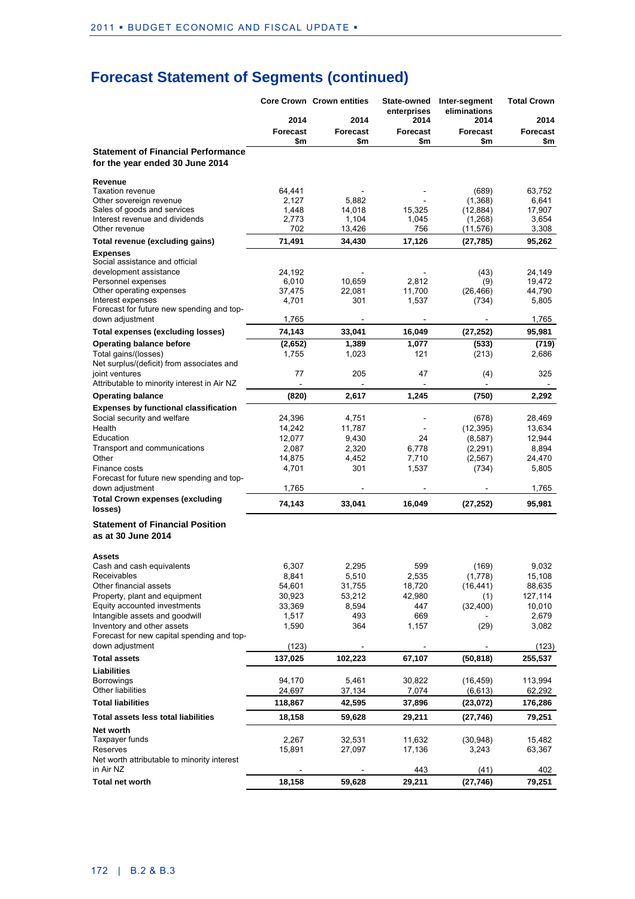|                                                                              |                 | <b>Core Crown Crown entities</b> | State-owned<br>enterprises | Inter-segment<br>eliminations | <b>Total Crown</b> |
|------------------------------------------------------------------------------|-----------------|----------------------------------|----------------------------|-------------------------------|--------------------|
|                                                                              | 2014            | 2014                             | 2014                       | 2014                          | 2014               |
|                                                                              | <b>Forecast</b> | <b>Forecast</b>                  | <b>Forecast</b>            | <b>Forecast</b>               | <b>Forecast</b>    |
| <b>Statement of Financial Performance</b><br>for the year ended 30 June 2014 | \$m             | \$m                              | \$m                        | \$m                           | \$m                |
| Revenue                                                                      |                 |                                  |                            |                               |                    |
| <b>Taxation revenue</b>                                                      | 64,441<br>2,127 | 5,882                            |                            | (689)<br>(1,368)              | 63,752<br>6,641    |
| Other sovereign revenue<br>Sales of goods and services                       | 1,448           | 14,018                           | 15,325                     | (12, 884)                     | 17,907             |
| Interest revenue and dividends                                               | 2,773           | 1,104                            | 1,045                      | (1,268)                       | 3,654              |
| Other revenue                                                                | 702             | 13,426                           | 756                        | (11,576)                      | 3,308              |
| Total revenue (excluding gains)                                              | 71,491          | 34,430                           | 17,126                     | (27, 785)                     | 95,262             |
| <b>Expenses</b><br>Social assistance and official                            |                 |                                  |                            |                               |                    |
| development assistance                                                       | 24,192          |                                  |                            | (43)                          | 24,149             |
| Personnel expenses                                                           | 6,010           | 10,659                           | 2,812                      | (9)                           | 19,472             |
| Other operating expenses<br>Interest expenses                                | 37,475<br>4,701 | 22,081<br>301                    | 11,700<br>1,537            | (26, 466)<br>(734)            | 44,790<br>5,805    |
| Forecast for future new spending and top-                                    |                 |                                  |                            |                               |                    |
| down adjustment                                                              | 1,765           |                                  |                            |                               | 1,765              |
| <b>Total expenses (excluding losses)</b>                                     | 74,143          | 33,041                           | 16,049                     | (27, 252)                     | 95,981             |
| <b>Operating balance before</b>                                              | (2,652)         | 1,389                            | 1,077                      | (533)                         | (719)              |
| Total gains/(losses)<br>Net surplus/(deficit) from associates and            | 1,755           | 1,023                            | 121                        | (213)                         | 2,686              |
| joint ventures                                                               | 77              | 205                              | 47                         | (4)                           | 325                |
| Attributable to minority interest in Air NZ                                  |                 |                                  |                            |                               |                    |
| <b>Operating balance</b>                                                     | (820)           | 2,617                            | 1,245                      | (750)                         | 2,292              |
| <b>Expenses by functional classification</b>                                 |                 |                                  |                            |                               |                    |
| Social security and welfare                                                  | 24,396          | 4,751                            |                            | (678)                         | 28,469             |
| Health                                                                       | 14,242          | 11,787                           |                            | (12, 395)                     | 13,634             |
| Education<br>Transport and communications                                    | 12,077<br>2,087 | 9,430<br>2,320                   | 24<br>6,778                | (8, 587)<br>(2, 291)          | 12,944<br>8,894    |
| Other                                                                        | 14,875          | 4,452                            | 7,710                      | (2, 567)                      | 24,470             |
| Finance costs                                                                | 4,701           | 301                              | 1,537                      | (734)                         | 5,805              |
| Forecast for future new spending and top-                                    |                 |                                  |                            |                               |                    |
| down adjustment                                                              | 1,765           |                                  |                            |                               | 1,765              |
| <b>Total Crown expenses (excluding</b><br>losses)                            | 74,143          | 33,041                           | 16,049                     | (27, 252)                     | 95,981             |
| <b>Statement of Financial Position</b>                                       |                 |                                  |                            |                               |                    |
| as at 30 June 2014                                                           |                 |                                  |                            |                               |                    |
| <b>Assets</b>                                                                |                 |                                  |                            |                               |                    |
| Cash and cash equivalents                                                    | 6,307           | 2,295                            | 599                        | (169)                         | 9,032              |
| Receivables<br>Other financial assets                                        | 8,841<br>54,601 | 5,510<br>31,755                  | 2,535<br>18,720            | (1,778)                       | 15,108<br>88,635   |
| Property, plant and equipment                                                | 30,923          | 53,212                           | 42,980                     | (16, 441)<br>(1)              | 127,114            |
| Equity accounted investments                                                 | 33,369          | 8,594                            | 447                        | (32, 400)                     | 10,010             |
| Intangible assets and goodwill                                               | 1,517           | 493                              | 669                        |                               | 2,679              |
| Inventory and other assets                                                   | 1,590           | 364                              | 1,157                      | (29)                          | 3,082              |
| Forecast for new capital spending and top-<br>down adjustment                | (123)           |                                  |                            |                               | (123)              |
| <b>Total assets</b>                                                          | 137,025         | 102,223                          | 67,107                     | (50, 818)                     | 255,537            |
| Liabilities                                                                  |                 |                                  |                            |                               |                    |
| Borrowings                                                                   | 94,170          | 5,461                            | 30,822                     | (16, 459)                     | 113,994            |
| Other liabilities                                                            | 24,697          | 37,134                           | 7,074                      | (6, 613)                      | 62,292             |
| <b>Total liabilities</b>                                                     | 118,867         | 42,595                           | 37,896                     | (23,072)                      | 176,286            |
| Total assets less total liabilities                                          | 18,158          | 59,628                           | 29,211                     | (27, 746)                     | 79,251             |
| Net worth                                                                    |                 |                                  |                            |                               |                    |
| Taxpayer funds<br>Reserves                                                   | 2,267<br>15,891 | 32,531<br>27,097                 | 11,632<br>17,136           | (30, 948)<br>3,243            | 15,482<br>63,367   |
| Net worth attributable to minority interest                                  |                 |                                  |                            |                               |                    |
| in Air NZ                                                                    |                 |                                  | 443                        | (41)                          | 402                |
| <b>Total net worth</b>                                                       | 18,158          | 59,628                           | 29,211                     | (27, 746)                     | 79,251             |